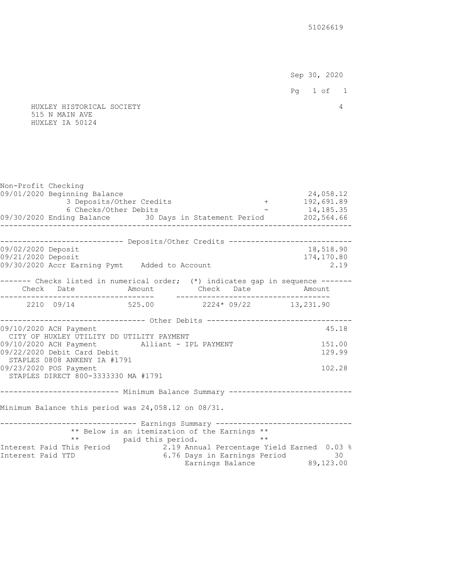Sep 30, 2020

Pg 1 of 1

 HUXLEY HISTORICAL SOCIETY 4 515 N MAIN AVE HUXLEY IA 50124

|                                                                                                                                                                                                                           |                                                                                                                                                                                                                                           |                                                                                                                           |                                                                                                                                                                            | 24,058.12                                                                                                                                                                                                                                                                                                                                                                                                                                                                                                                                                                           |
|---------------------------------------------------------------------------------------------------------------------------------------------------------------------------------------------------------------------------|-------------------------------------------------------------------------------------------------------------------------------------------------------------------------------------------------------------------------------------------|---------------------------------------------------------------------------------------------------------------------------|----------------------------------------------------------------------------------------------------------------------------------------------------------------------------|-------------------------------------------------------------------------------------------------------------------------------------------------------------------------------------------------------------------------------------------------------------------------------------------------------------------------------------------------------------------------------------------------------------------------------------------------------------------------------------------------------------------------------------------------------------------------------------|
|                                                                                                                                                                                                                           |                                                                                                                                                                                                                                           |                                                                                                                           |                                                                                                                                                                            |                                                                                                                                                                                                                                                                                                                                                                                                                                                                                                                                                                                     |
|                                                                                                                                                                                                                           |                                                                                                                                                                                                                                           |                                                                                                                           |                                                                                                                                                                            |                                                                                                                                                                                                                                                                                                                                                                                                                                                                                                                                                                                     |
|                                                                                                                                                                                                                           |                                                                                                                                                                                                                                           |                                                                                                                           |                                                                                                                                                                            |                                                                                                                                                                                                                                                                                                                                                                                                                                                                                                                                                                                     |
|                                                                                                                                                                                                                           |                                                                                                                                                                                                                                           |                                                                                                                           |                                                                                                                                                                            |                                                                                                                                                                                                                                                                                                                                                                                                                                                                                                                                                                                     |
|                                                                                                                                                                                                                           |                                                                                                                                                                                                                                           |                                                                                                                           |                                                                                                                                                                            | 18,518.90                                                                                                                                                                                                                                                                                                                                                                                                                                                                                                                                                                           |
|                                                                                                                                                                                                                           |                                                                                                                                                                                                                                           |                                                                                                                           |                                                                                                                                                                            | 174,170.80                                                                                                                                                                                                                                                                                                                                                                                                                                                                                                                                                                          |
|                                                                                                                                                                                                                           |                                                                                                                                                                                                                                           |                                                                                                                           |                                                                                                                                                                            | 2.19                                                                                                                                                                                                                                                                                                                                                                                                                                                                                                                                                                                |
|                                                                                                                                                                                                                           |                                                                                                                                                                                                                                           |                                                                                                                           |                                                                                                                                                                            |                                                                                                                                                                                                                                                                                                                                                                                                                                                                                                                                                                                     |
|                                                                                                                                                                                                                           |                                                                                                                                                                                                                                           |                                                                                                                           |                                                                                                                                                                            |                                                                                                                                                                                                                                                                                                                                                                                                                                                                                                                                                                                     |
|                                                                                                                                                                                                                           |                                                                                                                                                                                                                                           |                                                                                                                           |                                                                                                                                                                            |                                                                                                                                                                                                                                                                                                                                                                                                                                                                                                                                                                                     |
|                                                                                                                                                                                                                           |                                                                                                                                                                                                                                           |                                                                                                                           |                                                                                                                                                                            |                                                                                                                                                                                                                                                                                                                                                                                                                                                                                                                                                                                     |
|                                                                                                                                                                                                                           |                                                                                                                                                                                                                                           |                                                                                                                           |                                                                                                                                                                            | 45.18                                                                                                                                                                                                                                                                                                                                                                                                                                                                                                                                                                               |
|                                                                                                                                                                                                                           |                                                                                                                                                                                                                                           |                                                                                                                           |                                                                                                                                                                            | 151.00                                                                                                                                                                                                                                                                                                                                                                                                                                                                                                                                                                              |
|                                                                                                                                                                                                                           |                                                                                                                                                                                                                                           |                                                                                                                           |                                                                                                                                                                            | 129.99                                                                                                                                                                                                                                                                                                                                                                                                                                                                                                                                                                              |
|                                                                                                                                                                                                                           |                                                                                                                                                                                                                                           |                                                                                                                           |                                                                                                                                                                            |                                                                                                                                                                                                                                                                                                                                                                                                                                                                                                                                                                                     |
|                                                                                                                                                                                                                           |                                                                                                                                                                                                                                           |                                                                                                                           |                                                                                                                                                                            | 102.28                                                                                                                                                                                                                                                                                                                                                                                                                                                                                                                                                                              |
|                                                                                                                                                                                                                           |                                                                                                                                                                                                                                           |                                                                                                                           |                                                                                                                                                                            |                                                                                                                                                                                                                                                                                                                                                                                                                                                                                                                                                                                     |
|                                                                                                                                                                                                                           |                                                                                                                                                                                                                                           |                                                                                                                           |                                                                                                                                                                            |                                                                                                                                                                                                                                                                                                                                                                                                                                                                                                                                                                                     |
|                                                                                                                                                                                                                           |                                                                                                                                                                                                                                           |                                                                                                                           |                                                                                                                                                                            |                                                                                                                                                                                                                                                                                                                                                                                                                                                                                                                                                                                     |
|                                                                                                                                                                                                                           |                                                                                                                                                                                                                                           |                                                                                                                           |                                                                                                                                                                            |                                                                                                                                                                                                                                                                                                                                                                                                                                                                                                                                                                                     |
|                                                                                                                                                                                                                           |                                                                                                                                                                                                                                           |                                                                                                                           |                                                                                                                                                                            |                                                                                                                                                                                                                                                                                                                                                                                                                                                                                                                                                                                     |
|                                                                                                                                                                                                                           |                                                                                                                                                                                                                                           |                                                                                                                           |                                                                                                                                                                            |                                                                                                                                                                                                                                                                                                                                                                                                                                                                                                                                                                                     |
|                                                                                                                                                                                                                           |                                                                                                                                                                                                                                           |                                                                                                                           |                                                                                                                                                                            |                                                                                                                                                                                                                                                                                                                                                                                                                                                                                                                                                                                     |
|                                                                                                                                                                                                                           |                                                                                                                                                                                                                                           |                                                                                                                           |                                                                                                                                                                            |                                                                                                                                                                                                                                                                                                                                                                                                                                                                                                                                                                                     |
| Non-Profit Checking<br>09/01/2020 Beginning Balance<br>09/02/2020 Deposit<br>09/21/2020 Deposit<br>09/10/2020 ACH Payment<br>09/22/2020 Debit Card Debit<br>09/23/2020 POS Payment<br>$\star\,\star$<br>Interest Paid YTD | 3 Deposits/Other Credits<br>6 Checks/Other Debits<br>-----------------------------------<br>CITY OF HUXLEY UTILITY DD UTILITY PAYMENT<br>STAPLES 0808 ANKENY IA #1791<br>STAPLES DIRECT 800-3333330 MA #1791<br>Interest Paid This Period | 09/30/2020 Accr Earning Pymt Added to Account<br>Minimum Balance this period was 24,058.12 on 08/31.<br>paid this period. | 09/10/2020 ACH Payment Alliant - IPL PAYMENT<br>------------------------------ Earnings Summary --------<br>** Below is an itemization of the Earnings **<br>$\star \star$ | $+ 192,691.89$<br>$-14,185.35$<br>09/30/2020 Ending Balance 30 Days in Statement Period 202,564.66<br>--------------------------- Deposits/Other Credits ----------------------------<br>------- Checks listed in numerical order; (*) indicates gap in sequence ------<br>Check Date Mmount Check Date Amount<br>2210 09/14 525.00 2224* 09/22 13,231.90<br>------------------------------- Other Debits ----------------------------------<br>--------------------<br>2.19 Annual Percentage Yield Earned 0.03 %<br>6.76 Days in Earnings Period 30<br>Earnings Balance 89,123.00 |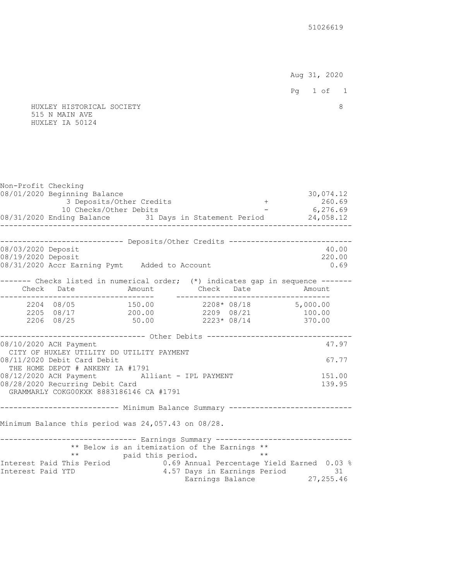Aug 31, 2020

Pg 1 of 1

 HUXLEY HISTORICAL SOCIETY 8 515 N MAIN AVE HUXLEY IA 50124

Non-Profit Checking 08/01/2020 Beginning Balance 30,074.12 3 Deposits/Other Credits 10 Checks/Other Debits - 6,276.69 08/31/2020 Ending Balance 31 Days in Statement Period 24,058.12 -------------------------------------------------------------------------------- --------------------------- Deposits/Other Credits -----------------------------08/03/2020 Deposit 40.00 08/19/2020 Deposit 220.00 08/31/2020 Accr Earning Pymt Added to Account 0.69 ------- Checks listed in numerical order; (\*) indicates gap in sequence ------- Check Date Amount Check Date Amount ----------------------------------- ----------------------------------- 2204 08/05 150.00 2208\* 08/18 5,000.00 2205 08/17 200.00 2209 08/21 100.00 2206 08/25 50.00 2223\* 08/14 370.00 ---------------------------------- Other Debits ---------------------------------08/10/2020 ACH Payment 47.97 CITY OF HUXLEY UTILITY DD UTILITY PAYMENT 08/11/2020 Debit Card Debit 67.77 THE HOME DEPOT # ANKENY IA #1791 08/12/2020 ACH Payment Alliant - IPL PAYMENT 151.00 08/28/2020 Recurring Debit Card 139.95 GRAMMARLY COKG00KXK 8883186146 CA #1791 --------------------------- Minimum Balance Summary ---------------------------- Minimum Balance this period was 24,057.43 on 08/28. ------------------------------- Earnings Summary -------------------------------- \*\* Below is an itemization of the Earnings \*\* \*\* paid this period. \*\* Interest Paid This Period 0.69 Annual Percentage Yield Earned 0.03 % Interest Paid YTD 4.57 Days in Earnings Period 31 Earnings Balance 27, 255.46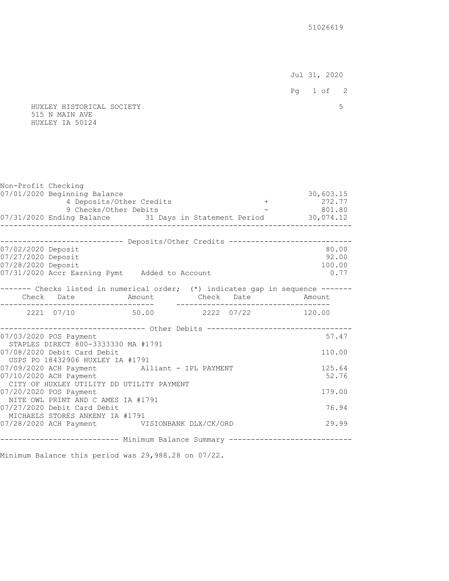Jul 31, 2020

Pg 1 of 2

#### HUXLEY HISTORICAL SOCIETY 5 515 N MAIN AVE HUXLEY IA 50124

| Non-Profit Checking |                                                     |                          |                                                                         |                                                                                                          |
|---------------------|-----------------------------------------------------|--------------------------|-------------------------------------------------------------------------|----------------------------------------------------------------------------------------------------------|
|                     | 07/01/2020 Beginning Balance                        |                          |                                                                         | 30,603.15                                                                                                |
|                     |                                                     | 4 Deposits/Other Credits |                                                                         | $+ 272.77$                                                                                               |
|                     | 9 Checks/Other Debits                               |                          |                                                                         | $-801.80$                                                                                                |
|                     | ________________________                            |                          |                                                                         | 07/31/2020 Ending Balance 31 Days in Statement Period 30,074.12<br>. _ _ _ _ _ _ _ _ _ _ _ _ _ _ _ _ _ _ |
|                     |                                                     |                          |                                                                         |                                                                                                          |
| 07/02/2020 Deposit  |                                                     |                          |                                                                         | --------------------------- Deposits/Other Credits ----------------------------<br>80.00                 |
| 07/27/2020 Deposit  |                                                     |                          |                                                                         | 92.00                                                                                                    |
| 07/28/2020 Deposit  |                                                     |                          |                                                                         | 100.00                                                                                                   |
|                     | 07/31/2020 Accr Earning Pymt Added to Account       |                          |                                                                         | 0.77                                                                                                     |
|                     |                                                     |                          |                                                                         |                                                                                                          |
|                     |                                                     |                          |                                                                         | ------- Checks listed in numerical order; (*) indicates gap in sequence ------                           |
|                     |                                                     |                          |                                                                         |                                                                                                          |
|                     |                                                     |                          | 2221 07/10 50.00 2222 07/22 120.00                                      |                                                                                                          |
|                     |                                                     |                          |                                                                         |                                                                                                          |
|                     | 07/03/2020 POS Payment                              |                          | ----------------------------- Other Debits ---------------------------- | 57.47                                                                                                    |
|                     | STAPLES DIRECT 800-3333330 MA #1791                 |                          |                                                                         |                                                                                                          |
|                     | 07/08/2020 Debit Card Debit                         |                          |                                                                         | 110.00                                                                                                   |
|                     | USPS PO 18432906 HUXLEY IA #1791                    |                          |                                                                         |                                                                                                          |
|                     | 07/09/2020 ACH Payment Alliant - IPL PAYMENT        |                          |                                                                         | 125.64                                                                                                   |
|                     | 07/10/2020 ACH Payment                              |                          |                                                                         | 52.76                                                                                                    |
|                     | CITY OF HUXLEY UTILITY DD UTILITY PAYMENT           |                          |                                                                         |                                                                                                          |
|                     | 07/20/2020 POS Payment                              |                          |                                                                         | 179.00                                                                                                   |
|                     | NITE OWL PRINT AND C AMES IA #1791                  |                          |                                                                         |                                                                                                          |
|                     | 07/27/2020 Debit Card Debit                         |                          |                                                                         | 76.94                                                                                                    |
|                     | MICHAELS STORES ANKENY IA #1791                     |                          |                                                                         |                                                                                                          |
|                     | 07/28/2020 ACH Payment VISIONBANK DLX/CK/ORD        |                          |                                                                         | 29.99                                                                                                    |
|                     |                                                     |                          |                                                                         | -------------------------- Minimum Balance Summary --------------------------                            |
|                     | Minimum Balance this period was 29,988.28 on 07/22. |                          |                                                                         |                                                                                                          |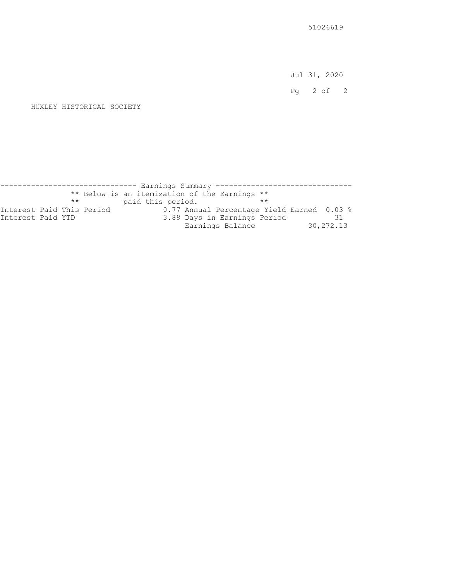Jul 31, 2020

Pg 2 of 2

```
 HUXLEY HISTORICAL SOCIETY
```
------------------------------ Earnings Summary ------------------------------ \*\* Below is an itemization of the Earnings \*\* \*\* paid this period. \*\* Interest Paid This Period 0.77 Annual Percentage Yield Earned 0.03 % Interest Paid YTD 3.88 Days in Earnings Period 31 3.88 Days in Earnings Period 31<br>Earnings Balance 30,272.13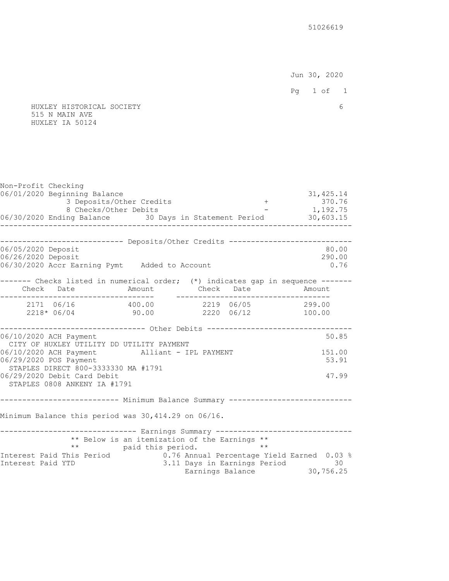Jun 30, 2020

- 
- HUXLEY HISTORICAL SOCIETY 6 515 N MAIN AVE HUXLEY IA 50124

| Non-Profit Checking<br>06/01/2020 Beginning Balance<br>3 Deposits/Other Credits<br>8 Checks/Other Debits<br>96/30/2020 Ending Balance 30 Days in Statement Period<br>906/30/2020 Ending Balance 30 Days in Statement Period<br>30,603.15<br>----------- |                                                                             |  | 31, 425.14                                                             |
|---------------------------------------------------------------------------------------------------------------------------------------------------------------------------------------------------------------------------------------------------------|-----------------------------------------------------------------------------|--|------------------------------------------------------------------------|
| --------------------------- Deposits/Other Credits ---------------------------                                                                                                                                                                          |                                                                             |  |                                                                        |
| 06/05/2020 Deposit<br>06/26/2020 Deposit<br>06/30/2020 Accr Earning Pymt Added to Account                                                                                                                                                               |                                                                             |  | 80.00<br>290.00<br>0.76                                                |
| ------- Checks listed in numerical order; (*) indicates gap in sequence -------<br>Check Date     Amount   Check Date   Amount<br>------------------------------                                                                                        |                                                                             |  | __________________                                                     |
| 2171 06/16  400.00  2219 06/05  299.00<br>$2218* 06/04$ 90.00 2220 06/12 100.00                                                                                                                                                                         |                                                                             |  |                                                                        |
| ----------------------------- Other Debits ----------------------------<br>06/10/2020 ACH Payment                                                                                                                                                       |                                                                             |  | 50.85                                                                  |
| CITY OF HUXLEY UTILITY DD UTILITY PAYMENT<br>06/10/2020 ACH Payment Alliant - IPL PAYMENT<br>06/29/2020 POS Payment<br>STAPLES DIRECT 800-3333330 MA #1791                                                                                              |                                                                             |  | 151.00<br>53.91                                                        |
| 06/29/2020 Debit Card Debit<br>STAPLES 0808 ANKENY IA #1791                                                                                                                                                                                             |                                                                             |  | 47.99                                                                  |
| --------------------------        Minimum Balance Summary --------------------------                                                                                                                                                                    |                                                                             |  |                                                                        |
| Minimum Balance this period was 30,414.29 on 06/16.                                                                                                                                                                                                     |                                                                             |  |                                                                        |
| ------------------------------ Earnings Summary -------------------------------                                                                                                                                                                         | ** Below is an itemization of the Earnings **<br>** paid this period. ** ** |  |                                                                        |
| Interest Paid This Period 1.76 Annual Percentage Yield Earned 0.03 %<br>Interest Paid YTD                                                                                                                                                               |                                                                             |  | 3.11 Days in Earnings Period 30, 756.25<br>Earnings Balance 30, 756.25 |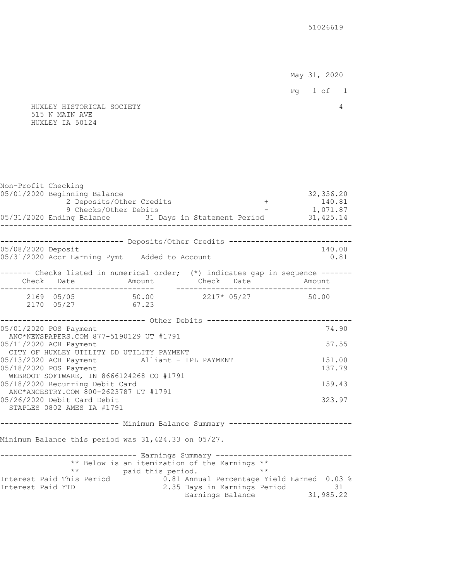May 31, 2020

Pg 1 of 1

 HUXLEY HISTORICAL SOCIETY 4 515 N MAIN AVE HUXLEY IA 50124

Non-Profit Checking 05/01/2020 Beginning Balance 32,356.20<br>140.81 140.81 + 32,356.20 2 Deposits/Other Credits 2 Deposits/Other Credits  $140.81$ <br>
9 Checks/Other Debits - 1,071.87 9 Checks/Other Debits 05/31/2020 Ending Balance 31 Days in Statement Period 31,425.14 -------------------------------------------------------------------------------- --------------------------- Deposits/Other Credits -----------------------------05/08/2020 Deposit 140.00 05/31/2020 Accr Earning Pymt Added to Account 0.81 ------- Checks listed in numerical order; (\*) indicates gap in sequence ------ Check Date Amount Check Date Amount ----------------------------------- ----------------------------------- 2169 05/05 50.00 2217\* 05/27 50.00 2170 05/27 67.23 --------------------------------- Other Debits --------------------------------- 05/01/2020 POS Payment 74.90 ANC\*NEWSPAPERS.COM 877-5190129 UT #1791 05/11/2020 ACH Payment 57.55 CITY OF HUXLEY UTILITY DD UTILITY PAYMENT 05/13/2020 ACH Payment Alliant - IPL PAYMENT 151.00 05/18/2020 POS Payment 137.79 WEBROOT SOFTWARE, IN 8666124268 CO #1791 05/18/2020 Recurring Debit Card 159.43 ANC\*ANCESTRY.COM 800-2623787 UT #1791 05/26/2020 Debit Card Debit 323.97 STAPLES 0802 AMES IA #1791 -------------------------- Minimum Balance Summary -----------------------------Minimum Balance this period was 31,424.33 on 05/27. ------------------------------- Earnings Summary -------------------------------- \*\* Below is an itemization of the Earnings \*\* \*\* paid this period. \*\* Interest Paid This Period 0.81 Annual Percentage Yield Earned 0.03 % Interest Paid YTD 2.35 Days in Earnings Period 31 Earnings Balance 31,985.22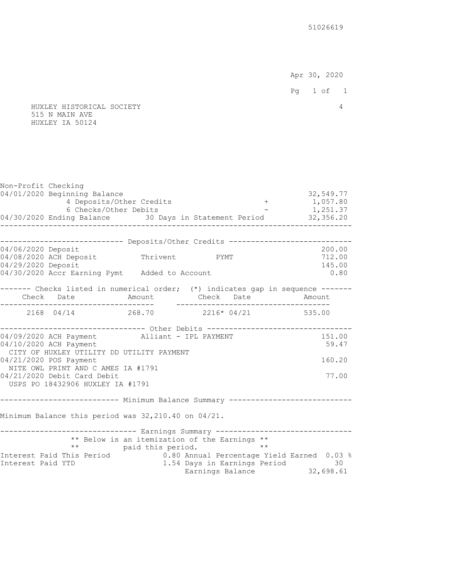Apr 30, 2020

Pg 1 of 1

 HUXLEY HISTORICAL SOCIETY 4 515 N MAIN AVE HUXLEY IA 50124

| Non-Profit Checking |                                                                                                                            |                                               |  |                                                               |
|---------------------|----------------------------------------------------------------------------------------------------------------------------|-----------------------------------------------|--|---------------------------------------------------------------|
|                     | 04/01/2020 Beginning Balance                                                                                               |                                               |  | 32,549.77                                                     |
|                     |                                                                                                                            |                                               |  |                                                               |
|                     | 4 Deposits/Other Credits<br>6 Checks/Other Debits<br>04/30/2020 Ending Balance 30 Days in Statement Period 32,356.20       |                                               |  |                                                               |
|                     | -------------                                                                                                              |                                               |  |                                                               |
|                     | --------------------------- Deposits/Other Credits ----------------------------                                            |                                               |  |                                                               |
| 04/06/2020 Deposit  |                                                                                                                            |                                               |  | 200.00                                                        |
|                     | 04/08/2020 ACH Deposit Thrivent PYMT                                                                                       |                                               |  | 712.00                                                        |
| 04/29/2020 Deposit  |                                                                                                                            |                                               |  | 145.00                                                        |
|                     | 04/30/2020 Accr Earning Pymt Added to Account                                                                              |                                               |  | 0.80                                                          |
|                     | ------- Checks listed in numerical order; (*) indicates gap in sequence -------                                            |                                               |  |                                                               |
|                     | Check Date     Amount   Check Date   Amount                                                                                |                                               |  |                                                               |
|                     | $2168$ 04/14 268.70 2216* 04/21 535.00                                                                                     |                                               |  |                                                               |
|                     |                                                                                                                            |                                               |  |                                                               |
|                     | ------------------------------ Other Debits ------------------------------<br>04/09/2020 ACH Payment Alliant - IPL PAYMENT |                                               |  | 151.00                                                        |
|                     | 04/10/2020 ACH Payment                                                                                                     |                                               |  | 59.47                                                         |
|                     | CITY OF HUXLEY UTILITY DD UTILITY PAYMENT                                                                                  |                                               |  |                                                               |
|                     | 04/21/2020 POS Payment                                                                                                     |                                               |  | 160.20                                                        |
|                     | NITE OWL PRINT AND C AMES IA #1791                                                                                         |                                               |  |                                                               |
|                     | 04/21/2020 Debit Card Debit                                                                                                |                                               |  | 77.00                                                         |
|                     | USPS PO 18432906 HUXLEY IA #1791                                                                                           |                                               |  |                                                               |
|                     | -------------------------- Minimum Balance Summary ----------------------------                                            |                                               |  |                                                               |
|                     | Minimum Balance this period was 32,210.40 on 04/21.                                                                        |                                               |  |                                                               |
|                     |                                                                                                                            |                                               |  |                                                               |
|                     | ------------------------------ Earnings Summary -------------------------------                                            | ** Below is an itemization of the Earnings ** |  |                                                               |
|                     |                                                                                                                            |                                               |  |                                                               |
|                     | ** paid this period. **<br>Interest Paid This Period 0.80 Annual Percentage Yield Earned 0.03 %                            |                                               |  |                                                               |
| Interest Paid YTD   |                                                                                                                            |                                               |  | 1.54 Days in Earnings Period 30<br>Earnings Balance 32,698.61 |
|                     |                                                                                                                            |                                               |  |                                                               |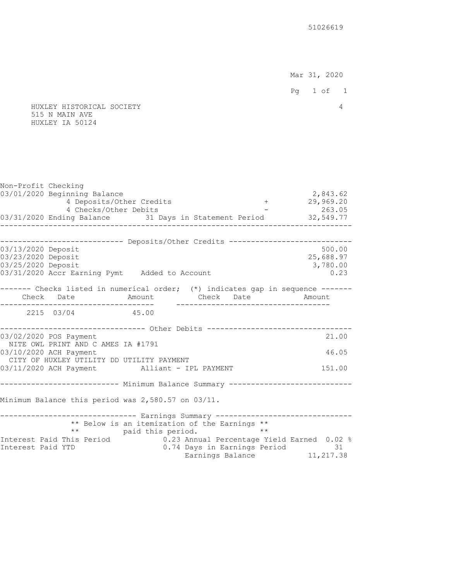Mar 31, 2020

 Pg 1 of 1 HUXLEY HISTORICAL SOCIETY 4 515 N MAIN AVE HUXLEY IA 50124 Non-Profit Checking 03/01/2020 Beginning Balance 2,843.62<br>29,969.20 1 - 29,969.20 1 - 29,969.20 1 - 29,969.20 4 Deposits/Other Credits + 4 Checks/Other Debits - 263.05 03/31/2020 Ending Balance 31 Days in Statement Period 32,549.77 -------------------------------------------------------------------------------- --------------------------- Deposits/Other Credits -----------------------------03/13/2020 Deposit 500.00 03/23/2020 Deposit 25,688.97 03/25/2020 Deposit 3,780.00 03/31/2020 Accr Earning Pymt Added to Account 0.23 ------- Checks listed in numerical order; (\*) indicates gap in sequence ------- Check Date Amount Check Date Amount ----------------------------------- ----------------------------------- 2215 03/04 45.00 -------------------------------- Other Debits -----------------------------------03/02/2020 POS Payment 21.00 NITE OWL PRINT AND C AMES IA #1791 03/10/2020 ACH Payment 46.05 CITY OF HUXLEY UTILITY DD UTILITY PAYMENT 03/11/2020 ACH Payment Alliant - IPL PAYMENT 151.00 -------------------------- Minimum Balance Summary -----------------------------Minimum Balance this period was 2,580.57 on 03/11. ------------------------------ Earnings Summary ------------------------------ \*\* Below is an itemization of the Earnings \*\* \*\* paid this period. \*\* Interest Paid This Period 0.23 Annual Percentage Yield Earned 0.02 % Interest Paid YTD 0.74 Days in Earnings Period 31 Earnings Balance 11,217.38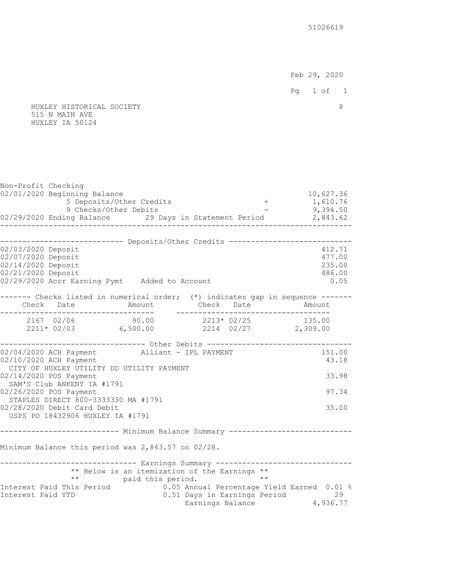Feb 29, 2020 Pg 1 of 1

#### HUXLEY HISTORICAL SOCIETY 8 515 N MAIN AVE HUXLEY IA 50124

Non-Profit Checking 02/01/2020 Beginning Balance 10,627.36<br>5 Deposits/Other Credits - 1,610.76 (1,610.76 5 Deposits/Other Credits 9 Checks/Other Debits - 9,394.50 02/29/2020 Ending Balance 29 Days in Statement Period 2,843.62 -------------------------------------------------------------------------------- ---------------------------- Deposits/Other Credits ----------------------------02/03/2020 Deposit 412.71 02/07/2020 Deposit 477.00 02/14/2020 Deposit 235.00 02/21/2020 Deposit 486.00 02/29/2020 Accr Earning Pymt Added to Account 0.05 ------- Checks listed in numerical order; (\*) indicates gap in sequence ------- Check Date Amount Check Date Amount ----------------------------------- ----------------------------------- 2167 02/06 90.00 2213\* 02/25 135.00 2211\* 02/03 6,500.00 2214 02/27 2,309.00 ---------------------------------- Other Debits ---------------------------------02/04/2020 ACH Payment Alliant - IPL PAYMENT 151.00 02/10/2020 ACH Payment 43.18 CITY OF HUXLEY UTILITY DD UTILITY PAYMENT 02/14/2020 POS Payment 33.98 SAM'S Club ANKENY IA #1791 02/26/2020 POS Payment 97.34 STAPLES DIRECT 800-3333330 MA #1791 02/28/2020 Debit Card Debit 35.00 USPS PO 18432906 HUXLEY IA #1791 -------------------------- Minimum Balance Summary -----------------------------Minimum Balance this period was 2,843.57 on 02/28. ------------------------------ Earnings Summary ------------------------------ \*\* Below is an itemization of the Earnings \*\* \*\* paid this period. \*\* Interest Paid This Period 0.05 Annual Percentage Yield Earned 0.01 % Interest Paid YTD 0.51 Days in Earnings Period 29 Earnings Balance  $\,$  4,936.77  $\,$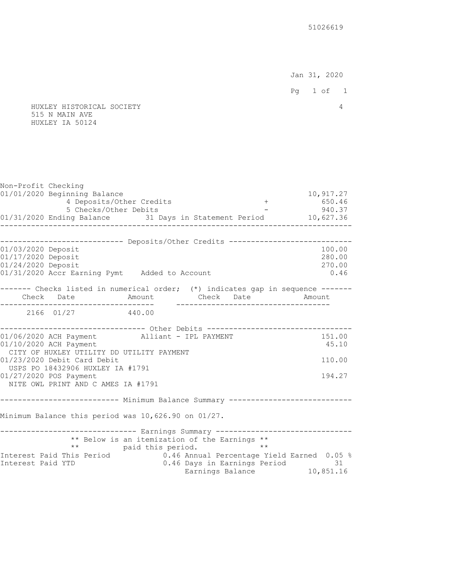Jan 31, 2020

- 
- HUXLEY HISTORICAL SOCIETY 4 515 N MAIN AVE HUXLEY IA 50124

| Non-Profit Checking                                                                                                                                     |                                               |                                                               |                                    |
|---------------------------------------------------------------------------------------------------------------------------------------------------------|-----------------------------------------------|---------------------------------------------------------------|------------------------------------|
| 01/01/2020 Beginning Balance<br>4 Deposits/Other Credits<br>5 Checks/Other Debits<br>940.37<br>940.37<br>940.37<br>940.37<br>940.37<br>940.37<br>940.37 |                                               |                                                               | 10,917.27                          |
| -------------                                                                                                                                           |                                               |                                                               |                                    |
| --------------------------- Deposits/Other Credits ---------------------------                                                                          |                                               |                                                               |                                    |
| 01/03/2020 Deposit<br>01/17/2020 Deposit<br>01/24/2020 Deposit<br>01/31/2020 Accr Earning Pymt Added to Account                                         |                                               |                                                               | 100.00<br>280.00<br>270.00<br>0.46 |
| ------- Checks listed in numerical order; (*) indicates gap in sequence ------                                                                          |                                               |                                                               |                                    |
| Check Date     Amount   Check Date   Amount<br>._________________________________                                                                       |                                               |                                                               |                                    |
| 2166 01/27 440.00                                                                                                                                       |                                               |                                                               |                                    |
| ------------------------------ Other Debits ----------------------------                                                                                |                                               |                                                               |                                    |
| 01/06/2020 ACH Payment Alliant - IPL PAYMENT<br>01/10/2020 ACH Payment<br>CITY OF HUXLEY UTILITY DD UTILITY PAYMENT                                     |                                               |                                                               | 151.00<br>45.10                    |
| 01/23/2020 Debit Card Debit                                                                                                                             |                                               |                                                               | 110.00                             |
| USPS PO 18432906 HUXLEY IA #1791<br>01/27/2020 POS Payment                                                                                              |                                               |                                                               | 194.27                             |
| NITE OWL PRINT AND C AMES IA #1791                                                                                                                      |                                               |                                                               |                                    |
| -------------------------- Minimum Balance Summary ----------------------------                                                                         |                                               |                                                               |                                    |
| Minimum Balance this period was 10,626.90 on 01/27.                                                                                                     |                                               |                                                               |                                    |
| ------------------------------ Earnings Summary -------------------------------                                                                         | ** Below is an itemization of the Earnings ** |                                                               |                                    |
| ** paid this period. **<br>Interest Paid This Period 0.46 Annual Percentage Y:                                                                          |                                               | 0.46 Annual Percentage Yield Earned 0.05 %                    |                                    |
| Interest Paid YTD                                                                                                                                       |                                               | 0.46 Days in Earnings Period 31<br>Earnings Balance 10,851.16 |                                    |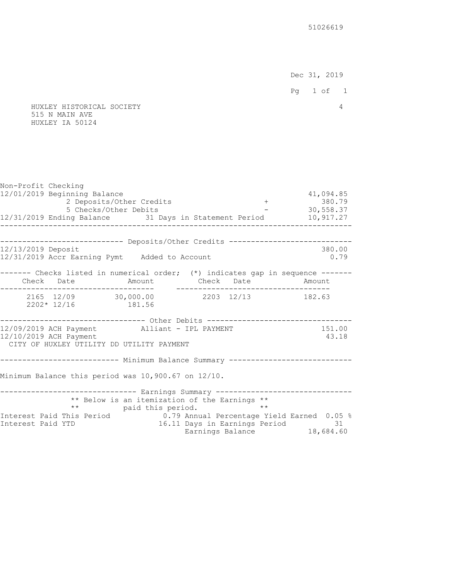Dec 31, 2019

```
 Pg 1 of 1
```
 HUXLEY HISTORICAL SOCIETY 4 515 N MAIN AVE HUXLEY IA 50124

Non-Profit Checking 12/01/2019 Beginning Balance 41,094.85 2 Deposits/Other Credits  $+$  380.79<br>5 Checks/Other Debits  $-$  30,558.37 5 Checks/Other Debits  $12/31/2019$  Ending Balance 31 Days in Statement Period  $10,917.27$ -------------------------------------------------------------------------------- --------------------------- Deposits/Other Credits -----------------------------12/13/2019 Deposit 380.00 12/31/2019 Accr Earning Pymt Added to Account 0.79 ------- Checks listed in numerical order; (\*) indicates gap in sequence ------ Check Date Amount Check Date Amount ----------------------------------- ----------------------------------- 2165 12/09 30,000.00 2203 12/13 182.63 2202\* 12/16 181.56 --------------------------------- Other Debits ----------------------------------12/09/2019 ACH Payment Alliant - IPL PAYMENT 151.00 12/10/2019 ACH Payment 43.18 CITY OF HUXLEY UTILITY DD UTILITY PAYMENT -------------------------- Minimum Balance Summary -----------------------------Minimum Balance this period was 10,900.67 on 12/10. ------------------------------- Earnings Summary -------------------------------- \*\* Below is an itemization of the Earnings \*\* \*\* paid this period. \*\*<br>Interest Paid This Period 0.79 Annual Percentage Y 0.79 Annual Percentage Yield Earned 0.05 % Interest Paid YTD 16.11 Days in Earnings Period 31 Earnings Balance 18,684.60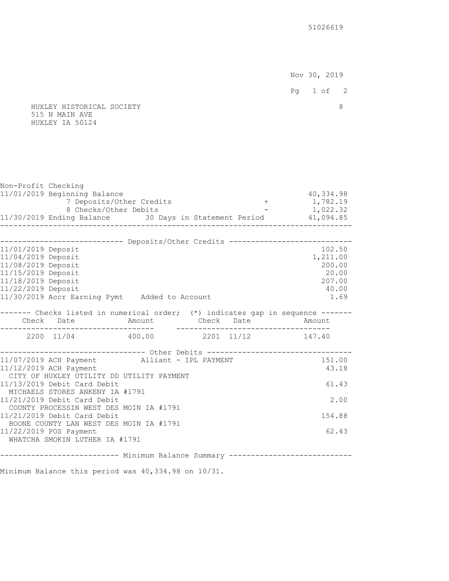Nov 30, 2019 Pg 1 of 2 HUXLEY HISTORICAL SOCIETY 8 515 N MAIN AVE HUXLEY IA 50124 Non-Profit Checking 11/01/2019 Beginning Balance 40,334.98 7 Deposits/Other Credits 8 Checks/Other Debits - 1,022.32 11/30/2019 Ending Balance 30 Days in Statement Period 41,094.85 -------------------------------------------------------------------------------- ---------------------------- Deposits/Other Credits ----------------------------11/01/2019 Deposit 102.50 11/04/2019 Deposit 1,211.00 11/08/2019 Deposit 200.00 11/15/2019 Deposit 20.00 11/18/2019 Deposit 207.00 11/22/2019 Deposit 40.00 11/30/2019 Accr Earning Pymt Added to Account 1.69 ------- Checks listed in numerical order; (\*) indicates gap in sequence ------ Check Date Amount Check Date Amount ----------------------------------- ----------------------------------- 2200 11/04 400.00 2201 11/12 147.40 -------------------------------- Other Debits -----------------------------------11/07/2019 ACH Payment Alliant - IPL PAYMENT 151.00 11/12/2019 ACH Payment 43.18 CITY OF HUXLEY UTILITY DD UTILITY PAYMENT 11/13/2019 Debit Card Debit 61.43 MICHAELS STORES ANKENY IA #1791 11/21/2019 Debit Card Debit 2.00 COUNTY PROCESSIN WEST DES MOIN IA #1791 11/21/2019 Debit Card Debit 154.88 BOONE COUNTY LAN WEST DES MOIN IA #1791 11/22/2019 POS Payment 62.43 WHATCHA SMOKIN LUTHER IA #1791 -------------------------- Minimum Balance Summary ----------------------------

Minimum Balance this period was 40,334.98 on 10/31.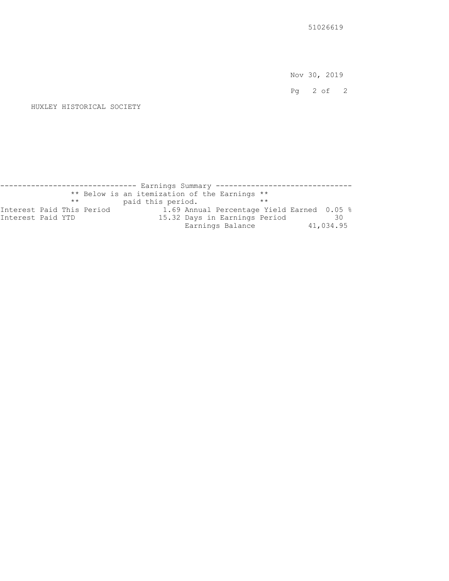Nov 30, 2019

Pg 2 of 2

#### HUXLEY HISTORICAL SOCIETY

------------------------------ Earnings Summary ------------------------------ \*\* Below is an itemization of the Earnings \*\* \*\* paid this period. \*\* Interest Paid This Period 1.69 Annual Percentage Yield Earned 0.05 % Interest Paid YTD 15.32 Days in Earnings Period 30 15.32 Days in Earnings Period 30<br>Earnings Balance 41,034.95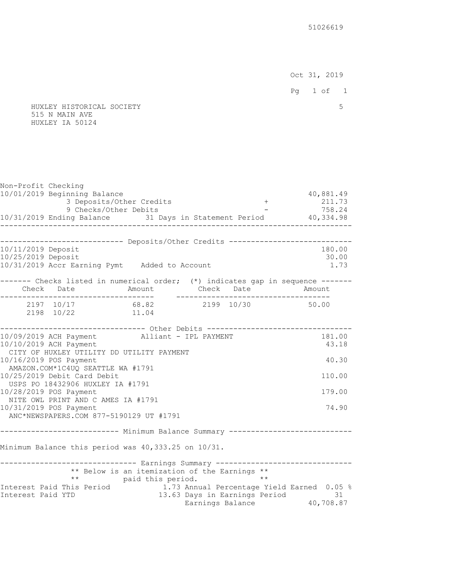Oct 31, 2019

- 
- HUXLEY HISTORICAL SOCIETY 5 515 N MAIN AVE HUXLEY IA 50124

| Non-Profit Checking |                                                                                 |                                               |                                                                |           |
|---------------------|---------------------------------------------------------------------------------|-----------------------------------------------|----------------------------------------------------------------|-----------|
|                     | 10/01/2019 Beginning Balance                                                    |                                               |                                                                | 40,881.49 |
|                     | 3 Deposits/Other Credits                                                        |                                               | $+$                                                            | 211.73    |
|                     | 9 Checks/Other Debits                                                           |                                               |                                                                | 758.24    |
|                     |                                                                                 |                                               |                                                                |           |
|                     | --------------------------- Deposits/Other Credits ---------------------------  |                                               |                                                                |           |
| 10/11/2019 Deposit  |                                                                                 |                                               |                                                                | 180.00    |
| 10/25/2019 Deposit  |                                                                                 |                                               |                                                                | 30.00     |
|                     | 10/31/2019 Accr Earning Pymt Added to Account                                   |                                               |                                                                | 1.73      |
|                     | ------- Checks listed in numerical order; (*) indicates gap in sequence ------- |                                               |                                                                |           |
|                     |                                                                                 |                                               |                                                                |           |
|                     | 2197 10/17 68.82 2199 10/30 50.00                                               |                                               |                                                                |           |
|                     | 2198 10/22                                                                      | 11.04                                         |                                                                |           |
|                     | ----------------------------- Other Debits -----------------------------        |                                               |                                                                |           |
|                     | 10/09/2019 ACH Payment Alliant - IPL PAYMENT                                    |                                               |                                                                | 181.00    |
|                     | 10/10/2019 ACH Payment                                                          |                                               |                                                                | 43.18     |
|                     | CITY OF HUXLEY UTILITY DD UTILITY PAYMENT                                       |                                               |                                                                |           |
|                     | 10/16/2019 POS Payment                                                          |                                               |                                                                | 40.30     |
|                     | AMAZON.COM*1C4UQ SEATTLE WA #1791<br>10/25/2019 Debit Card Debit                |                                               |                                                                | 110.00    |
|                     | USPS PO 18432906 HUXLEY IA #1791                                                |                                               |                                                                |           |
|                     | 10/28/2019 POS Payment                                                          |                                               |                                                                | 179.00    |
|                     | NITE OWL PRINT AND C AMES IA #1791                                              |                                               |                                                                |           |
|                     | 10/31/2019 POS Payment                                                          |                                               |                                                                | 74.90     |
|                     | ANC*NEWSPAPERS.COM 877-5190129 UT #1791                                         |                                               |                                                                |           |
|                     |                                                                                 |                                               |                                                                |           |
|                     | Minimum Balance this period was 40,333.25 on 10/31.                             |                                               |                                                                |           |
|                     | ------------------------------ Earnings Summary ------------------------------- |                                               |                                                                |           |
|                     |                                                                                 | ** Below is an itemization of the Earnings ** |                                                                |           |
|                     |                                                                                 | ** paid this period.                          | $\star \star$                                                  |           |
|                     | Interest Paid This Period 1.73 Annual Percentage Yield Earned 0.05 %            |                                               |                                                                |           |
| Interest Paid YTD   |                                                                                 |                                               |                                                                |           |
|                     |                                                                                 |                                               | 13.63 Days in Earnings Period 31<br>Earnings Balance 40,708.87 |           |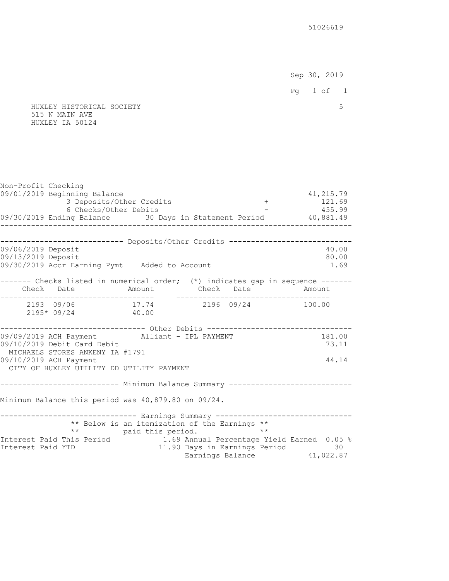Sep 30, 2019 Pg 1 of 1

## HUXLEY HISTORICAL SOCIETY 5 515 N MAIN AVE HUXLEY IA 50124

| Non-Profit Checking                                                             |                                               |                           |                                                                |
|---------------------------------------------------------------------------------|-----------------------------------------------|---------------------------|----------------------------------------------------------------|
| 09/01/2019 Beginning Balance                                                    | 3 Deposits/Other Credits                      |                           | 41, 215.79                                                     |
| 6 Checks/Other Debits                                                           |                                               |                           | $\frac{121.69}{-}$<br>- 455.99                                 |
| 09/30/2019 Ending Balance 30 Days in Statement Period 40,881.49                 |                                               | _________________________ |                                                                |
|                                                                                 |                                               |                           |                                                                |
| --------------------------- Deposits/Other Credits ---------------------------- |                                               |                           |                                                                |
| 09/06/2019 Deposit                                                              |                                               |                           | 40.00                                                          |
| 09/13/2019 Deposit<br>09/30/2019 Accr Earning Pymt Added to Account             |                                               |                           | 80.00<br>1.69                                                  |
|                                                                                 |                                               |                           |                                                                |
| ------- Checks listed in numerical order; (*) indicates gap in sequence ------- |                                               |                           |                                                                |
| Check Date Mmount Check Date Amount                                             |                                               |                           |                                                                |
|                                                                                 | .__________________                           |                           | . _ _ _ _ _ _ _ _ _ _ _ _ _ _ _ _ _                            |
| 2193 09/06 17.74 2196 09/24 100.00<br>$2195*09/24$ 40.00                        |                                               |                           |                                                                |
|                                                                                 |                                               |                           |                                                                |
| ----------------------------- Other Debits ---------------------------------    |                                               |                           |                                                                |
| 09/09/2019 ACH Payment Alliant - IPL PAYMENT                                    |                                               |                           | 181.00                                                         |
| 09/10/2019 Debit Card Debit                                                     |                                               |                           | 73.11                                                          |
| MICHAELS STORES ANKENY IA #1791<br>09/10/2019 ACH Payment                       |                                               |                           | 44.14                                                          |
| CITY OF HUXLEY UTILITY DD UTILITY PAYMENT                                       |                                               |                           |                                                                |
|                                                                                 |                                               |                           |                                                                |
| -------------------------- Minimum Balance Summary ---------------------------- |                                               |                           |                                                                |
|                                                                                 |                                               |                           |                                                                |
| Minimum Balance this period was 40,879.80 on 09/24.                             |                                               |                           |                                                                |
| ------------------------------ Earnings Summary ------------------------------- |                                               |                           |                                                                |
|                                                                                 | ** Below is an itemization of the Earnings ** |                           |                                                                |
|                                                                                 | ** paid this period.                          | $\star \star$             |                                                                |
| Interest Paid This Period 1.69 Annual Percentage Yield Earned 0.05 %            |                                               |                           |                                                                |
| Interest Paid YTD                                                               |                                               |                           | 11.90 Days in Earnings Period 30<br>Earnings Balance 41,022.87 |
|                                                                                 |                                               |                           |                                                                |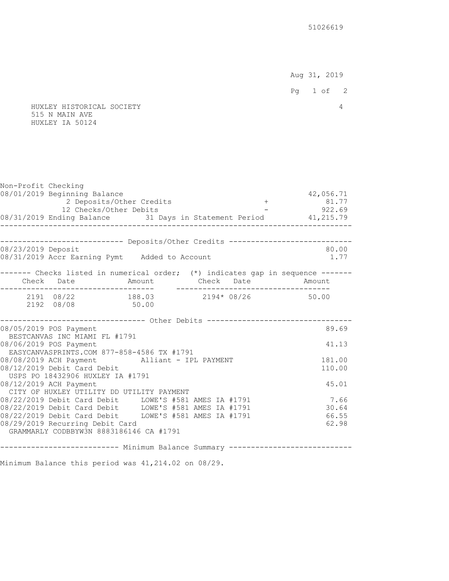Aug 31, 2019

Pg 1 of 2

 HUXLEY HISTORICAL SOCIETY 4 515 N MAIN AVE HUXLEY IA 50124

| Non-Profit Checking | 08/01/2019 Beginning Balance<br>2 Deposits/Other Credits<br>12 Checks/Other Debits<br>08/31/2019 Ending Balance 31 Days in Statement Period 41,215.79 |                                                     |  | 42,056.71<br>$+$ 81.77<br>- 922.69 |
|---------------------|-------------------------------------------------------------------------------------------------------------------------------------------------------|-----------------------------------------------------|--|------------------------------------|
|                     |                                                                                                                                                       |                                                     |  |                                    |
|                     | --------------------------- Deposits/Other Credits ---------------------------                                                                        |                                                     |  |                                    |
| 08/23/2019 Deposit  | 08/31/2019 Accr Earning Pymt Added to Account                                                                                                         |                                                     |  | 80.00<br>1.77                      |
|                     | ------- Checks listed in numerical order; (*) indicates gap in sequence -------<br>Check Date Mmount Check Date Amount                                |                                                     |  |                                    |
|                     | 2191 08/22 188.03 2194* 08/26 50.00<br>2192 08/08 50.00                                                                                               |                                                     |  |                                    |
|                     | ----------------------------- Other Debits -----------------------------                                                                              |                                                     |  |                                    |
|                     | 08/05/2019 POS Payment<br>BESTCANVAS INC MIAMI FL #1791                                                                                               |                                                     |  | 89.69                              |
|                     | 08/06/2019 POS Payment<br>EASYCANVASPRINTS.COM 877-858-4586 TX #1791                                                                                  |                                                     |  | 41.13                              |
|                     | 08/08/2019 ACH Payment Alliant - IPL PAYMENT                                                                                                          |                                                     |  | 181.00                             |
|                     | 08/12/2019 Debit Card Debit<br>USPS PO 18432906 HUXLEY IA #1791                                                                                       |                                                     |  | 110.00                             |
|                     | 08/12/2019 ACH Payment                                                                                                                                |                                                     |  | 45.01                              |
|                     | CITY OF HUXLEY UTILITY DD UTILITY PAYMENT<br>08/22/2019 Debit Card Debit LOWE'S #581 AMES IA #1791                                                    |                                                     |  | 7.66                               |
|                     |                                                                                                                                                       |                                                     |  | 30.64                              |
|                     | 08/22/2019 Debit Card Debit LOWE'S #581 AMES IA #1791<br>08/22/2019 Debit Card Debit LOWE'S #581 AMES IA #1791                                        |                                                     |  | 66.55                              |
|                     | 08/29/2019 Recurring Debit Card<br>GRAMMARLY CODBBYW3N 8883186146 CA #1791                                                                            |                                                     |  | 62.98                              |
|                     |                                                                                                                                                       |                                                     |  |                                    |
|                     |                                                                                                                                                       | -------- Minimum Balance Summary ------------------ |  |                                    |

Minimum Balance this period was 41,214.02 on 08/29.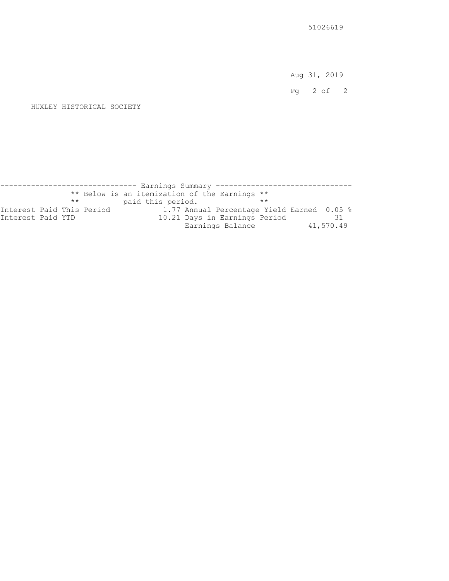Aug 31, 2019

Pg 2 of 2

#### HUXLEY HISTORICAL SOCIETY

------------------------------ Earnings Summary ------------------------------ \*\* Below is an itemization of the Earnings \*\* \*\* paid this period. \*\* Interest Paid This Period 1.77 Annual Percentage Yield Earned 0.05 % Interest Paid YTD 10.21 Days in Earnings Period 31 10.21 Days in Earnings Period 31<br>Earnings Balance 41,570.49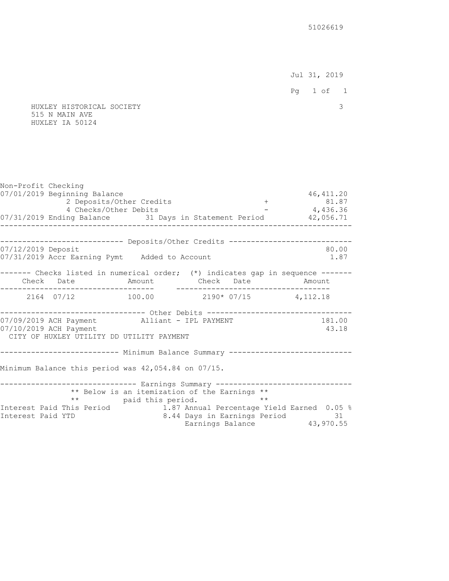Jul 31, 2019

Pg 1 of 1

 HUXLEY HISTORICAL SOCIETY 3 515 N MAIN AVE HUXLEY IA 50124

| Non-Profit Checking<br>07/01/2019 Beginning Balance<br>2 Deposits/Other Credits<br>4 Checks/Other Debits<br>07/31/2019 Ending Balance 31 Days in Statement Period 42,056.71                            |                      |                                                                                                              | 46, 411.20<br>$+$ 81.87<br>- 4,436.36 |
|--------------------------------------------------------------------------------------------------------------------------------------------------------------------------------------------------------|----------------------|--------------------------------------------------------------------------------------------------------------|---------------------------------------|
| --------------------------- Deposits/Other Credits ----------------------------<br>07/12/2019 Deposit<br>07/31/2019 Accr Earning Pymt Added to Account                                                 |                      |                                                                                                              | 80.00<br>1.87                         |
| ------- Checks listed in numerical order; (*) indicates gap in sequence ------<br>Check Date Mount Check Date Amount                                                                                   |                      |                                                                                                              |                                       |
| $2164$ 07/12 100.00 2190* 07/15 4,112.18                                                                                                                                                               |                      |                                                                                                              |                                       |
| ------------------------------- Other Debits ----------------------------------<br>07/09/2019 ACH Payment Alliant - IPL PAYMENT<br>07/10/2019 ACH Payment<br>CITY OF HUXLEY UTILITY DD UTILITY PAYMENT |                      |                                                                                                              | 181.00<br>43.18                       |
|                                                                                                                                                                                                        |                      |                                                                                                              |                                       |
| Minimum Balance this period was 42,054.84 on 07/15.                                                                                                                                                    |                      |                                                                                                              |                                       |
| ------------------------------ Earnings Summary -------------------------------<br>Interest Paid This Period                                                                                           | ** paid this period. | ** Below is an itemization of the Earnings **<br>$\star \star$<br>1.87 Annual Percentage Yield Earned 0.05 % |                                       |
| Interest Paid YTD                                                                                                                                                                                      |                      | 8.44 Days in Earnings Period 31<br>Earnings Balance 43,970.55                                                |                                       |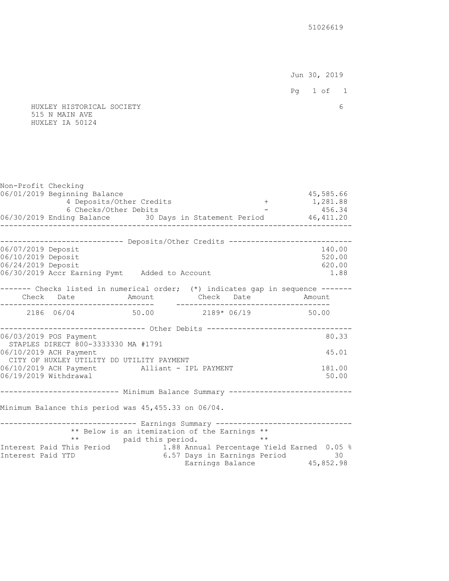Jun 30, 2019

 Pg 1 of 1 HUXLEY HISTORICAL SOCIETY 6 515 N MAIN AVE HUXLEY IA 50124 Non-Profit Checking

06/01/2019 Beginning Balance 45,585.66<br>4 Deposits/Other Credits (1,281.88 4 Deposits/Other Credits 6 Checks/Other Debits<br>ing Balance 30 Days in Statement Period 46,411.20 06/30/2019 Ending Balance 30 Days in Statement Period -------------------------------------------------------------------------------- --------------------------- Deposits/Other Credits -----------------------------06/07/2019 Deposit 140.00 06/10/2019 Deposit 520.00 06/24/2019 Deposit 620.00 06/30/2019 Accr Earning Pymt Added to Account 1.88 ------- Checks listed in numerical order; (\*) indicates gap in sequence ------- Check Date Amount Check Date Amount ----------------------------------- ----------------------------------- 2186 06/04 50.00 2189\* 06/19 50.00 ---------------------------------- Other Debits ---------------------------------06/03/2019 POS Payment 80.33 STAPLES DIRECT 800-3333330 MA #1791 06/10/2019 ACH Payment 45.01 CITY OF HUXLEY UTILITY DD UTILITY PAYMENT 06/10/2019 ACH Payment Alliant - IPL PAYMENT 181.00 06/19/2019 Withdrawal 50.00 -------------------------- Minimum Balance Summary -----------------------------Minimum Balance this period was 45,455.33 on 06/04. ------------------------------- Earnings Summary -------------------------------- \*\* Below is an itemization of the Earnings \*\* \*\* paid this period. \*\*<br>Interest Paid This Period 1.88 Annual Percentage Y 1.88 Annual Percentage Yield Earned 0.05 % Interest Paid YTD 6.57 Days in Earnings Period 30 Earnings Balance  $45,852.98$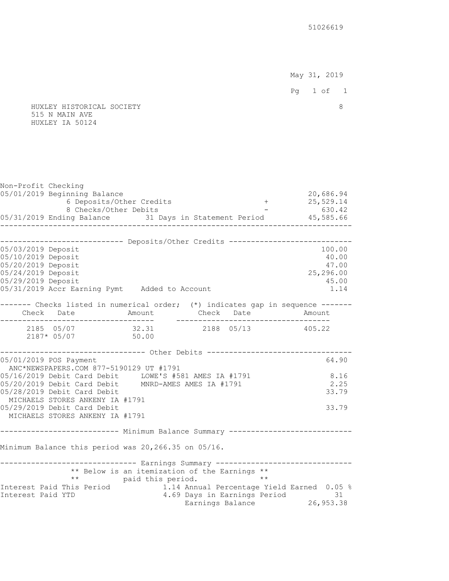HUXLEY HISTORICAL SOCIETY 8 515 N MAIN AVE HUXLEY IA 50124 Non-Profit Checking 05/01/2019 Beginning Balance 20,686.94<br>6 Deposits/Other Credits (1996) 1996 1997 1998 1999 6 Deposits/Other Credits + 8 Checks/Other Debits - 630.42 05/31/2019 Ending Balance 31 Days in Statement Period 45,585.66 -------------------------------------------------------------------------------- ---------------------------- Deposits/Other Credits ----------------------------05/03/2019 Deposit 100.00 05/10/2019 Deposit 40.00 05/20/2019 Deposit 47.00 05/24/2019 Deposit 25,296.00 05/29/2019 Deposit 45.00 05/31/2019 Accr Earning Pymt Added to Account 1.14 ------- Checks listed in numerical order; (\*) indicates gap in sequence ------Check Date **Amount** Check Date Amount ----------------------------------- ----------------------------------- 2185 05/07 32.31 2188 05/13 405.22 2187\* 05/07 50.00 ---------------------------------- Other Debits ---------------------------------05/01/2019 POS Payment 64.90 ANC\*NEWSPAPERS.COM 877-5190129 UT #1791 05/16/2019 Debit Card Debit LOWE'S #581 AMES IA #1791 8.16<br>05/20/2019 Debit Card Debit MNRD-AMES AMES IA #1791 2.25 05/20/2019 Debit Card Debit MNRD-AMES AMES IA #1791 2.25 05/28/2019 Debit Card Debit 33.79 MICHAELS STORES ANKENY IA #1791 05/29/2019 Debit Card Debit 33.79 MICHAELS STORES ANKENY IA #1791 -------------------------- Minimum Balance Summary -----------------------------Minimum Balance this period was 20,266.35 on 05/16. ------------------------------ Earnings Summary ------------------------------ \*\* Below is an itemization of the Earnings \*\* \*\* paid this period. \*\* Interest Paid This Period 1.14 Annual Percentage Yield Earned 0.05 % Interest Paid YTD 4.69 Days in Earnings Period 31 Earnings Balance 26,953.38

May 31, 2019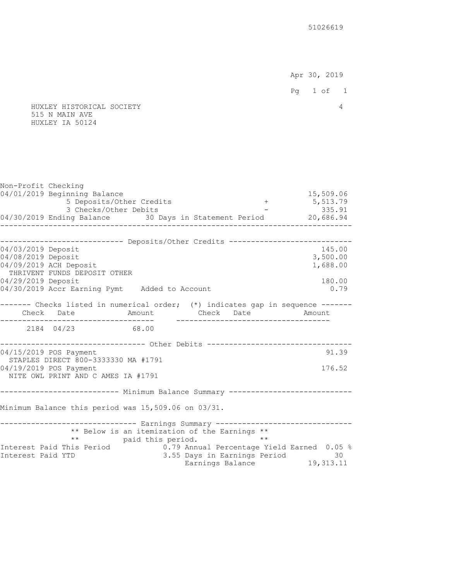Apr 30, 2019

 Pg 1 of 1 HUXLEY HISTORICAL SOCIETY 4 515 N MAIN AVE HUXLEY IA 50124 Non-Profit Checking 04/01/2019 Beginning Balance 15,509.06<br>5 Deposits/Other Credits (15,509.06 15,513.79 5 Deposits/Other Credits  $+$  5,513.79<br>3 Checks/Other Debits - 335.91 3 Checks/Other Debits 04/30/2019 Ending Balance 30 Days in Statement Period 20,686.94 -------------------------------------------------------------------------------- ---------------------------- Deposits/Other Credits ----------------------------04/03/2019 Deposit 145.00 04/08/2019 Deposit 3,500.00 04/09/2019 ACH Deposit 1,688.00 THRIVENT FUNDS DEPOSIT OTHER 04/29/2019 Deposit 180.00 04/30/2019 Accr Earning Pymt Added to Account 0.79 ------- Checks listed in numerical order; (\*) indicates gap in sequence ------Check Date Amount Check Date Amount Check Date Amount ----------------------------------- ----------------------------------- 2184 04/23 --------------------------------- Other Debits ---------------------------04/15/2019 POS Payment 91.39 STAPLES DIRECT 800-3333330 MA #1791 04/19/2019 POS Payment 176.52 NITE OWL PRINT AND C AMES IA #1791 ------------------------- Minimum Balance Summary -----------------------------Minimum Balance this period was 15,509.06 on 03/31. ------------------------------- Earnings Summary -------------------------------- \*\* Below is an itemization of the Earnings \*\* \*\* paid this period. \*\*<br>Interest Paid This Period 0.79 Annual Percentage Y 0.79 Annual Percentage Yield Earned 0.05 % Interest Paid YTD 3.55 Days in Earnings Period 30 Earnings Balance 19,313.11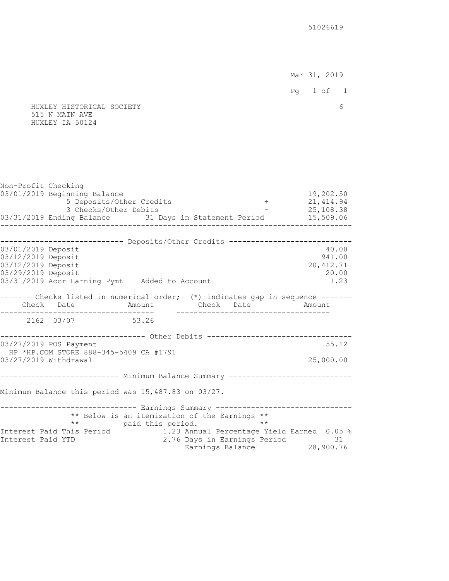Mar 31, 2019

 Pg 1 of 1 HUXLEY HISTORICAL SOCIETY 6 515 N MAIN AVE HUXLEY IA 50124 Non-Profit Checking 03/01/2019 Beginning Balance 19,202.50 5 Deposits/Other Credits + 3 Checks/Other Debits - 25,108.38 03/31/2019 Ending Balance 31 Days in Statement Period 15,509.06 -------------------------------------------------------------------------------- --------------------------- Deposits/Other Credits -----------------------------03/01/2019 Deposit 40.00 03/12/2019 Deposit 941.00 03/12/2019 Deposit 20,412.71 03/29/2019 Deposit 20.00 03/31/2019 Accr Earning Pymt Added to Account 1.23 ------- Checks listed in numerical order; (\*) indicates gap in sequence ------- Check Date Amount Check Date Amount ----------------------------------- ----------------------------------- 2162 03/07 --------------------------------- Other Debits ---------------------------03/27/2019 POS Payment 55.12 HP \*HP.COM STORE 888-345-5409 CA #1791 03/27/2019 Withdrawal 25,000.00 -------------------------- Minimum Balance Summary -----------------------------Minimum Balance this period was 15,487.83 on 03/27. ------------------------------- Earnings Summary -------------------------------- \*\* Below is an itemization of the Earnings \*\* \*\* paid this period.<br>Interest Paid This Period 1.23 Annual Percentage Y 1.23 Annual Percentage Yield Earned 0.05 % Interest Paid YTD 2.76 Days in Earnings Period 31 Earnings Balance 28,900.76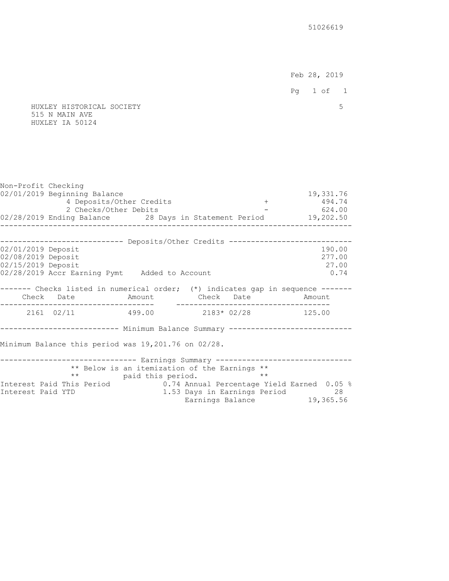Feb 28, 2019

Pg 1 of 1

 HUXLEY HISTORICAL SOCIETY 5 515 N MAIN AVE HUXLEY IA 50124

Non-Profit Checking 02/01/2019 Beginning Balance 19,331.76<br>494.74 194.74 194.74 194.74 4 Deposits/Other Credits + 2 Checks/Other Debits - 624.00 02/28/2019 Ending Balance 28 Days in Statement Period 19,202.50 -------------------------------------------------------------------------------- --------------------------- Deposits/Other Credits -----------------------------02/01/2019 Deposit 190.00 02/08/2019 Deposit 277.00 02/15/2019 Deposit 27.00 02/28/2019 Accr Earning Pymt Added to Account 0.74 ------- Checks listed in numerical order; (\*) indicates gap in sequence ------ Check Date Amount Check Date Amount ----------------------------------- ----------------------------------- 2161 02/11 499.00 2183\* 02/28 125.00 -------------------------- Minimum Balance Summary -----------------------------Minimum Balance this period was 19,201.76 on 02/28. ------------------------------ Earnings Summary -------------------------------- \*\* Below is an itemization of the Earnings \*\* \*\* paid this period. \*\* Interest Paid This Period 1.57 0.74 Annual Percentage Yield Earned 0.05 %<br>1.53 Days in Earnings Period 28 Interest Paid YTD 1.53 Days in Earnings Period 28 Earnings Balance 19,365.56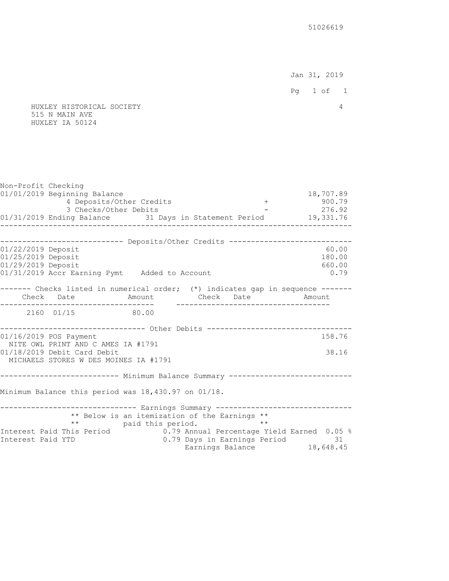Jan 31, 2019

Pg 1 of 1

#### HUXLEY HISTORICAL SOCIETY 4 515 N MAIN AVE HUXLEY IA 50124

Non-Profit Checking 01/01/2019 Beginning Balance 18,707.89<br>18,707.89 18,707.89 4 Deposits/Other Credits (18,109) 4 Deposits/Other Credits + 3 Checks/Other Debits - 276.92 01/31/2019 Ending Balance 31 Days in Statement Period 19,331.76 -------------------------------------------------------------------------------- --------------------------- Deposits/Other Credits -----------------------------01/22/2019 Deposit 60.00 01/25/2019 Deposit 180.00 01/29/2019 Deposit 660.00 01/31/2019 Accr Earning Pymt Added to Account 0.79 ------- Checks listed in numerical order; (\*) indicates gap in sequence ------- Check Date Amount Check Date Amount ----------------------------------- ----------------------------------- 2160 01/15 80.00 ---------------------------------- Other Debits ---------------------------------01/16/2019 POS Payment 158.76 NITE OWL PRINT AND C AMES IA #1791 01/18/2019 Debit Card Debit 38.16 MICHAELS STORES W DES MOINES IA #1791 -------------------------- Minimum Balance Summary -----------------------------Minimum Balance this period was 18,430.97 on 01/18. ------------------------------- Earnings Summary -------------------------------- \*\* Below is an itemization of the Earnings \*\* \*\* paid this period.<br>Interest Paid This Period 0.79 Annual Percentage Y 0.79 Annual Percentage Yield Earned 0.05 % Interest Paid YTD 0.79 Days in Earnings Period 31 Earnings Balance 18,648.45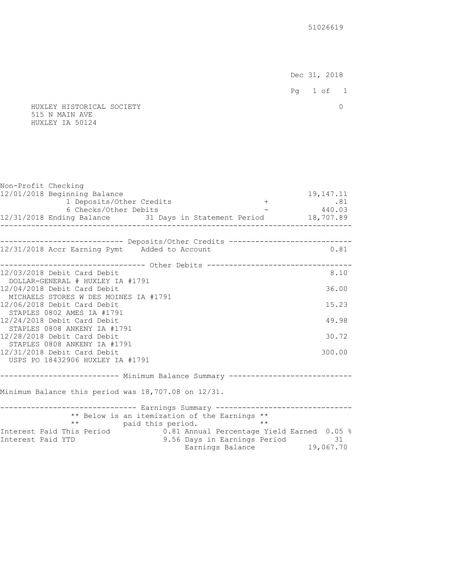Dec 31, 2018 Pg 1 of 1 HUXLEY HISTORICAL SOCIETY 0 515 N MAIN AVE HUXLEY IA 50124

| Non-Profit Checking<br>12/01/2018 Beginning Balance                             |                                                               | 19, 147. 11 |
|---------------------------------------------------------------------------------|---------------------------------------------------------------|-------------|
| 1 Deposits/Other Credits                                                        |                                                               |             |
| 6 Checks/Other Debits                                                           |                                                               |             |
| 12/31/2018 Ending Balance 31 Days in Statement Period 18,707.89                 |                                                               |             |
| . _ _ _ _ _ _ _ _ _ _ _ _ .<br>_ _ _ _ _ _ _ _ _ _ _                            |                                                               |             |
| --------------------------- Deposits/Other Credits --------------------------   |                                                               |             |
| 12/31/2018 Accr Earning Pymt Added to Account                                   |                                                               | 0.81        |
| ---------------------------- Other Debits ---------------------------------     |                                                               |             |
| 12/03/2018 Debit Card Debit                                                     |                                                               | 8.10        |
| DOLLAR-GENERAL # HUXLEY IA #1791                                                |                                                               |             |
| 12/04/2018 Debit Card Debit                                                     |                                                               | 36.00       |
| MICHAELS STORES W DES MOINES IA #1791<br>12/06/2018 Debit Card Debit            |                                                               | 15.23       |
| STAPLES 0802 AMES IA #1791                                                      |                                                               |             |
| 12/24/2018 Debit Card Debit                                                     |                                                               | 49.98       |
| STAPLES 0808 ANKENY IA #1791                                                    |                                                               |             |
| 12/28/2018 Debit Card Debit                                                     |                                                               | 30.72       |
| STAPLES 0808 ANKENY IA #1791                                                    |                                                               |             |
| 12/31/2018 Debit Card Debit<br>USPS PO 18432906 HUXLEY IA #1791                 |                                                               | 300.00      |
|                                                                                 |                                                               |             |
|                                                                                 |                                                               |             |
| Minimum Balance this period was 18,707.08 on 12/31.                             |                                                               |             |
| ------------------------------ Earnings Summary ------------------------------- |                                                               |             |
| ** Below is an itemization of the Earnings **                                   |                                                               |             |
| ** paid this period.                                                            | $\star \star$                                                 |             |
| Interest Paid This Period                                                       | 0.81 Annual Percentage Yield Earned 0.05 %                    |             |
| Interest Paid YTD                                                               | 9.56 Days in Earnings Period 31<br>Earnings Balance 19,067.70 |             |
|                                                                                 |                                                               |             |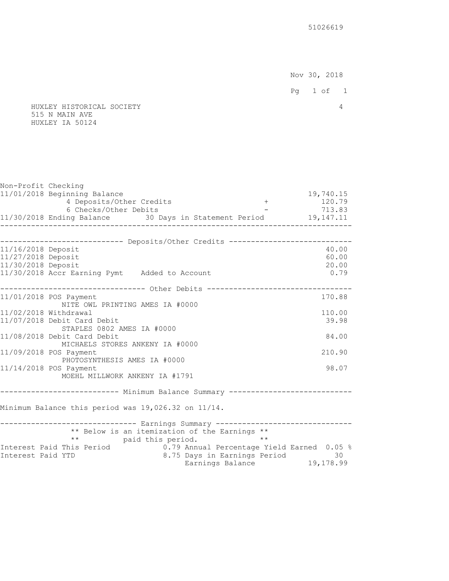Nov 30, 2018

Pg 1 of 1

## HUXLEY HISTORICAL SOCIETY 4 515 N MAIN AVE HUXLEY IA 50124

| Non-Profit Checking   |                                                     |                                                                                 |           |
|-----------------------|-----------------------------------------------------|---------------------------------------------------------------------------------|-----------|
|                       | 11/01/2018 Beginning Balance                        |                                                                                 | 19,740.15 |
|                       | 4 Deposits/Other Credits                            | $+$                                                                             | 120.79    |
|                       | 6 Checks/Other Debits                               |                                                                                 | 713.83    |
|                       |                                                     | 11/30/2018 Ending Balance 30 Days in Statement Period 19,147.11                 |           |
|                       |                                                     |                                                                                 |           |
|                       |                                                     |                                                                                 |           |
|                       |                                                     | --------------------------- Deposits/Other Credits ------------------------     |           |
| 11/16/2018 Deposit    |                                                     |                                                                                 | 40.00     |
| 11/27/2018 Deposit    |                                                     |                                                                                 | 60.00     |
| 11/30/2018 Deposit    |                                                     |                                                                                 | 20.00     |
|                       | 11/30/2018 Accr Earning Pymt Added to Account       |                                                                                 | 0.79      |
|                       |                                                     | ------------------------------- Other Debits ---------------------------------- |           |
|                       | 11/01/2018 POS Payment                              |                                                                                 | 170.88    |
|                       | NITE OWL PRINTING AMES IA #0000                     |                                                                                 |           |
| 11/02/2018 Withdrawal |                                                     |                                                                                 | 110.00    |
|                       | 11/07/2018 Debit Card Debit                         |                                                                                 | 39.98     |
|                       | STAPLES 0802 AMES IA #0000                          |                                                                                 |           |
|                       | 11/08/2018 Debit Card Debit                         |                                                                                 | 84.00     |
|                       | MICHAELS STORES ANKENY IA #0000                     |                                                                                 |           |
|                       | 11/09/2018 POS Payment                              |                                                                                 | 210.90    |
|                       | PHOTOSYNTHESIS AMES IA #0000                        |                                                                                 |           |
|                       | 11/14/2018 POS Payment                              |                                                                                 | 98.07     |
|                       | MOEHL MILLWORK ANKENY IA #1791                      |                                                                                 |           |
|                       |                                                     |                                                                                 |           |
|                       |                                                     | -------------------------- Minimum Balance Summary ---------------------------- |           |
|                       | Minimum Balance this period was 19,026.32 on 11/14. |                                                                                 |           |
|                       |                                                     |                                                                                 |           |
|                       |                                                     | ------------------------------ Earnings Summary ------------------------------- |           |
|                       |                                                     | ** Below is an itemization of the Earnings **                                   |           |
|                       | $\star \star$<br>paid this period.                  | $***$                                                                           |           |
|                       | Interest Paid This Period                           | 0.79 Annual Percentage Yield Earned 0.05 %                                      |           |
| Interest Paid YTD     |                                                     | 8.75 Days in Earnings Period                                                    | 30        |
|                       |                                                     | Earnings Balance 19,178.99                                                      |           |
|                       |                                                     |                                                                                 |           |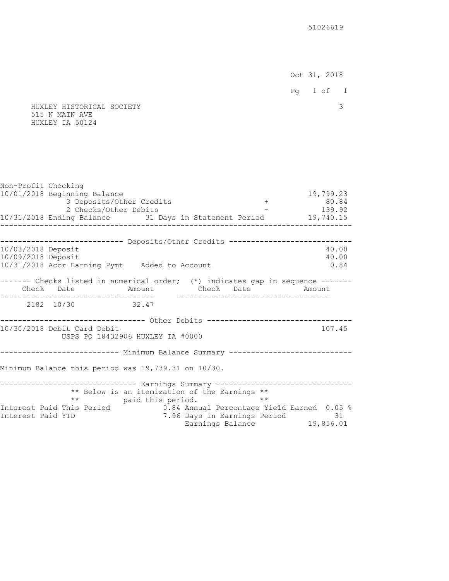Oct 31, 2018

Pg 1 of 1

 HUXLEY HISTORICAL SOCIETY 3 515 N MAIN AVE HUXLEY IA 50124

Non-Profit Checking 10/01/2018 Beginning Balance 19,799.23 3 Deposits/Other Credits + 80.84 2 Checks/Other Debits - 139.92 10/31/2018 Ending Balance 31 Days in Statement Period 19,740.15 -------------------------------------------------------------------------------- --------------------------- Deposits/Other Credits -----------------------------10/03/2018 Deposit 40.00 10/09/2018 Deposit 40.00 10/31/2018 Accr Earning Pymt Added to Account 0.84 ------- Checks listed in numerical order; (\*) indicates gap in sequence ------ Check Date Amount Check Date Amount ----------------------------------- ----------------------------------- 2182 10/30 -------------------------------- Other Debits -----------------------------------10/30/2018 Debit Card Debit 107.45 USPS PO 18432906 HUXLEY IA #0000 -------------------------- Minimum Balance Summary -----------------------------Minimum Balance this period was 19,739.31 on 10/30. ------------------------------- Earnings Summary -------------------------------- \*\* Below is an itemization of the Earnings \*\* \*\* paid this period. Interest Paid This Period 0.84 Annual Percentage Yield Earned 0.05 % Interest Paid YTD 7.96 Days in Earnings Period 31 Earnings Balance 19,856.01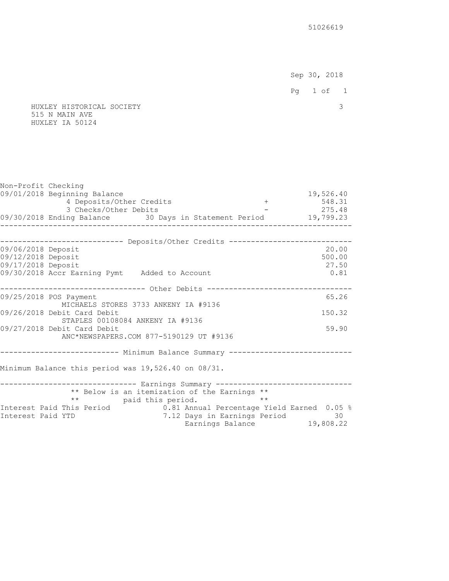Sep 30, 2018

- 
- HUXLEY HISTORICAL SOCIETY 3 515 N MAIN AVE HUXLEY IA 50124

| Non-Profit Checking |                                                                                  |                       |                                               |               |           |
|---------------------|----------------------------------------------------------------------------------|-----------------------|-----------------------------------------------|---------------|-----------|
|                     | 09/01/2018 Beginning Balance                                                     |                       |                                               |               | 19,526.40 |
|                     | 4 Deposits/Other Credits                                                         |                       |                                               | $\pm$         | 548.31    |
|                     | 3 Checks/Other Debits                                                            |                       |                                               | $-275.48$     |           |
|                     | 09/30/2018 Ending Balance 30 Days in Statement Period 19,799.23                  |                       |                                               | _____________ |           |
|                     | ----------------                                                                 | . _ _ _ _ _ _ _ _ _ . |                                               |               |           |
|                     | --------------------------- Deposits/Other Credits ----------------------------  |                       |                                               |               |           |
| 09/06/2018 Deposit  |                                                                                  |                       |                                               |               | 20.00     |
| 09/12/2018 Deposit  |                                                                                  |                       |                                               |               | 500.00    |
| 09/17/2018 Deposit  |                                                                                  |                       |                                               |               | 27.50     |
|                     | 09/30/2018 Accr Earning Pymt Added to Account                                    |                       |                                               |               | 0.81      |
|                     |                                                                                  |                       |                                               |               |           |
|                     | ------------------------------- Other Debits ---------------------------------   |                       |                                               |               |           |
|                     | 09/25/2018 POS Payment                                                           |                       |                                               |               | 65.26     |
|                     | MICHAELS STORES 3733 ANKENY IA #9136                                             |                       |                                               |               | 150.32    |
|                     | 09/26/2018 Debit Card Debit<br>STAPLES 00108084 ANKENY IA #9136                  |                       |                                               |               |           |
|                     | 09/27/2018 Debit Card Debit                                                      |                       |                                               |               | 59.90     |
|                     | ANC*NEWSPAPERS.COM 877-5190129 UT #9136                                          |                       |                                               |               |           |
|                     |                                                                                  |                       |                                               |               |           |
|                     |                                                                                  |                       |                                               |               |           |
|                     |                                                                                  |                       |                                               |               |           |
|                     | Minimum Balance this period was 19,526.40 on 08/31.                              |                       |                                               |               |           |
|                     | ------------------------------ Earnings Summary -------------------------------- |                       |                                               |               |           |
|                     |                                                                                  |                       | ** Below is an itemization of the Earnings ** |               |           |
|                     |                                                                                  | ** paid this period.  | $\star \star$                                 |               |           |
|                     | Interest Paid This Period 1.81 Annual Percentage Yield Earned 0.05 %             |                       |                                               |               |           |
| Interest Paid YTD   |                                                                                  |                       | 7.12 Days in Earnings Period 30               |               |           |
|                     |                                                                                  |                       | Earnings Balance 19,808.22                    |               |           |
|                     |                                                                                  |                       |                                               |               |           |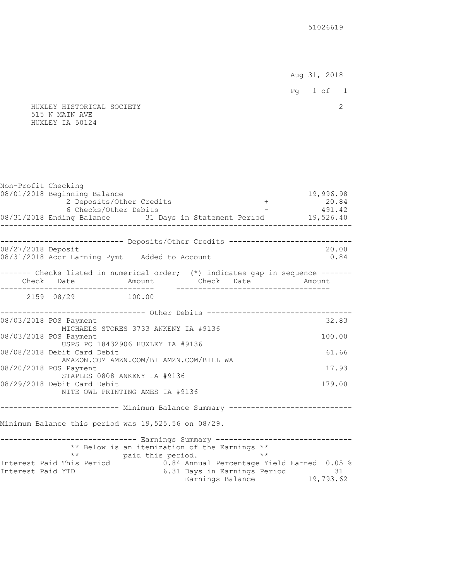Aug 31, 2018

Pg 1 of 1

 HUXLEY HISTORICAL SOCIETY 2 515 N MAIN AVE HUXLEY IA 50124

Non-Profit Checking 08/01/2018 Beginning Balance 19,996.98<br>19,996.98 19,996.98 19,996.98 19,996.98 2 Deposits/Other Credits 2 Deposits/Other Credits 6 Checks/Other Debits - 491.42 08/31/2018 Ending Balance 31 Days in Statement Period 19,526.40 -------------------------------------------------------------------------------- ---------------------------- Deposits/Other Credits ----------------------------08/27/2018 Deposit 20.00 08/31/2018 Accr Earning Pymt Added to Account 0.84 ------- Checks listed in numerical order; (\*) indicates gap in sequence ------Check Date **Amount** Check Date Amount ----------------------------------- ----------------------------------- 2159 08/29 100.00 ---------------------------------- Other Debits ---------------------------------08/03/2018 POS Payment 32.83 MICHAELS STORES 3733 ANKENY IA #9136 08/03/2018 POS Payment 100.00 USPS PO 18432906 HUXLEY IA #9136 08/08/2018 Debit Card Debit 61.66 AMAZON.COM AMZN.COM/BI AMZN.COM/BILL WA 08/20/2018 POS Payment 17.93 STAPLES 0808 ANKENY IA #9136 08/29/2018 Debit Card Debit 179.00 NITE OWL PRINTING AMES IA #9136 --------------------------- Minimum Balance Summary ---------------------------- Minimum Balance this period was 19,525.56 on 08/29. ------------------------------- Earnings Summary -------------------------------- \*\* Below is an itemization of the Earnings \*\* \*\* paid this period. \*\* Interest Paid This Period 0.84 Annual Percentage Yield Earned 0.05 % Interest Paid YTD 6.31 Days in Earnings Period 31 Earnings Balance 19,793.62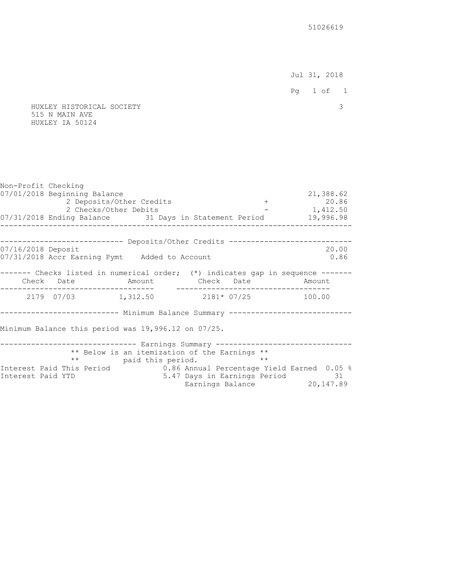Jul 31, 2018

Pg 1 of 1

 HUXLEY HISTORICAL SOCIETY 3 515 N MAIN AVE HUXLEY IA 50124

Non-Profit Checking 07/01/2018 Beginning Balance 21,388.62 2 Deposits/Other Credits + 20.86 2 Checks/Other Debits - 1,412.50 07/31/2018 Ending Balance 31 Days in Statement Period 19,996.98 -------------------------------------------------------------------------------- --------------------------- Deposits/Other Credits -----------------------------07/16/2018 Deposit 20.00 07/31/2018 Accr Earning Pymt Added to Account 0.86 ------- Checks listed in numerical order; (\*) indicates gap in sequence ------- Check Date Amount Check Date Amount ----------------------------------- ----------------------------------- 2179 07/03 1,312.50 2181\* 07/25 100.00 --------------------------- Minimum Balance Summary ---------------------------- Minimum Balance this period was 19,996.12 on 07/25. ------------------------------ Earnings Summary -------------------------------- \*\* Below is an itemization of the Earnings \*\* \*\* paid this period. \*\* \*\* Interest Paid This Period 0.86 Annual Percentage Yield Earned 0.05 % Interest Paid YTD 5.47 Days in Earnings Period 31 Earnings Balance 20,147.89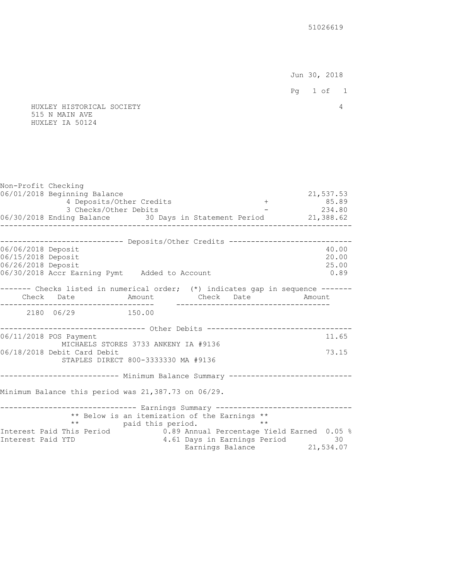Jun 30, 2018

Pg 1 of 1

## HUXLEY HISTORICAL SOCIETY 4 515 N MAIN AVE HUXLEY IA 50124

| Non-Profit Checking                                            | 06/01/2018 Beginning Balance<br>4 Deposits/Other Credits<br>3 Checks/Other Debits<br>06/30/2018 Ending Balance 30 Days in Statement Period 21,388.62<br>_________ |                      |                                                                                                                                                              |              | 21,537.53<br>$+$ 85.89<br>$-234.80$ |
|----------------------------------------------------------------|-------------------------------------------------------------------------------------------------------------------------------------------------------------------|----------------------|--------------------------------------------------------------------------------------------------------------------------------------------------------------|--------------|-------------------------------------|
|                                                                |                                                                                                                                                                   |                      |                                                                                                                                                              |              |                                     |
| 06/06/2018 Deposit<br>06/15/2018 Deposit<br>06/26/2018 Deposit | --------------------------- Deposits/Other Credits --------------------------<br>06/30/2018 Accr Earning Pymt Added to Account                                    |                      |                                                                                                                                                              |              | 40.00<br>20.00<br>25.00<br>0.89     |
|                                                                | ------- Checks listed in numerical order; (*) indicates gap in sequence -------<br>Check Date     Amount   Check Date   Amount                                    |                      |                                                                                                                                                              |              |                                     |
|                                                                | 2180 06/29 150.00                                                                                                                                                 |                      |                                                                                                                                                              |              |                                     |
|                                                                | ----------------------------- Other Debits --------------------------------<br>06/11/2018 POS Payment                                                             |                      |                                                                                                                                                              |              | 11.65                               |
|                                                                | MICHAELS STORES 3733 ANKENY IA #9136<br>06/18/2018 Debit Card Debit<br>STAPLES DIRECT 800-3333330 MA #9136                                                        |                      |                                                                                                                                                              |              | 73.15                               |
|                                                                | -------------------------- Minimum Balance Summary ----------------------------                                                                                   |                      |                                                                                                                                                              |              |                                     |
|                                                                | Minimum Balance this period was 21,387.73 on 06/29.                                                                                                               |                      |                                                                                                                                                              |              |                                     |
| Interest Paid YTD                                              | ------------------------------ Earnings Summary -------------------------------<br>Interest Paid This Period                                                      | ** paid this period. | ** Below is an itemization of the Earnings **<br>0.89 Annual Percentage Yield Earned 0.05 %<br>4.61 Days in Earnings Period 30<br>Earnings Balance 21,534.07 | $\star\star$ |                                     |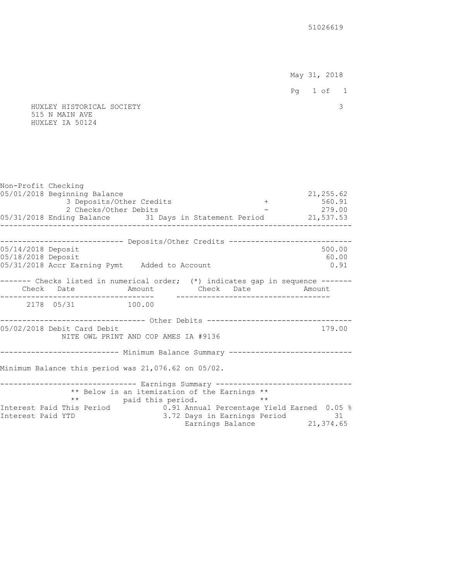May 31, 2018

Pg 1 of 1

 HUXLEY HISTORICAL SOCIETY 3 515 N MAIN AVE HUXLEY IA 50124

Non-Profit Checking 05/01/2018 Beginning Balance 21,255.62<br>3 Deposits/Other Credits (1990) 1996.91 3 Deposits/Other Credits + 2 Checks/Other Debits - 279.00 05/31/2018 Ending Balance 31 Days in Statement Period 21,537.53 -------------------------------------------------------------------------------- --------------------------- Deposits/Other Credits -----------------------------05/14/2018 Deposit 500.00 05/18/2018 Deposit 60.00 05/31/2018 Accr Earning Pymt Added to Account 0.91 ------- Checks listed in numerical order; (\*) indicates gap in sequence ------ Check Date Amount Check Date Amount ----------------------------------- ----------------------------------- 2178 05/31 -------------------------------- Other Debits -----------------------------------05/02/2018 Debit Card Debit 179.00 NITE OWL PRINT AND COP AMES IA #9136 -------------------------- Minimum Balance Summary -----------------------------Minimum Balance this period was 21,076.62 on 05/02. ------------------------------- Earnings Summary -------------------------------- \*\* Below is an itemization of the Earnings \*\* \*\* paid this period. Interest Paid This Period 0.91 Annual Percentage Yield Earned 0.05 % Interest Paid YTD 3.72 Days in Earnings Period 31 Earnings Balance 21,374.65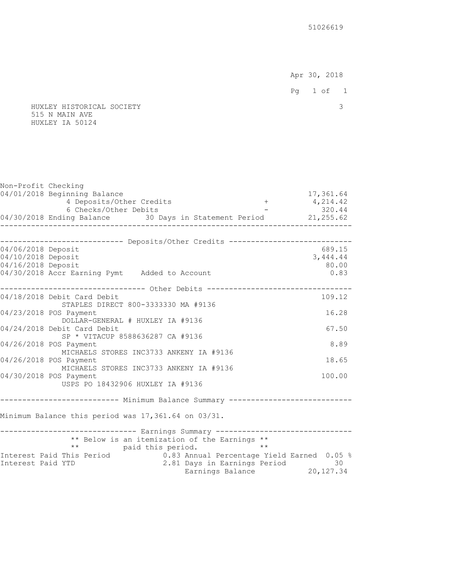Apr 30, 2018

- 
- HUXLEY HISTORICAL SOCIETY 3 515 N MAIN AVE HUXLEY IA 50124

| Non-Profit Checking                      |                                                                 |                                                                                          |                       |
|------------------------------------------|-----------------------------------------------------------------|------------------------------------------------------------------------------------------|-----------------------|
|                                          | 04/01/2018 Beginning Balance<br>4 Deposits/Other Credits        | $+$                                                                                      | 17,361.64<br>4,214.42 |
|                                          | 6 Checks/Other Debits                                           |                                                                                          | 320.44                |
|                                          |                                                                 | o Checks/Ocher Depits<br>04/30/2018 Ending Balance 30 Days in Statement Period 21,255.62 |                       |
|                                          |                                                                 |                                                                                          |                       |
|                                          |                                                                 | --------------------------- Deposits/Other Credits ----------------------------          |                       |
| 04/06/2018 Deposit<br>04/10/2018 Deposit |                                                                 |                                                                                          | 689.15<br>3,444.44    |
| 04/16/2018 Deposit                       |                                                                 |                                                                                          | 80.00                 |
|                                          | 04/30/2018 Accr Earning Pymt Added to Account                   |                                                                                          | 0.83                  |
|                                          |                                                                 | ------------------------------ Other Debits --------------------------------             |                       |
|                                          | 04/18/2018 Debit Card Debit                                     |                                                                                          | 109.12                |
|                                          | STAPLES DIRECT 800-3333330 MA #9136                             |                                                                                          |                       |
|                                          | 04/23/2018 POS Payment                                          |                                                                                          | 16.28                 |
|                                          | DOLLAR-GENERAL # HUXLEY IA #9136<br>04/24/2018 Debit Card Debit |                                                                                          | 67.50                 |
|                                          | SP * VITACUP 8588636287 CA #9136                                |                                                                                          |                       |
|                                          | 04/26/2018 POS Payment                                          |                                                                                          | 8.89                  |
|                                          | MICHAELS STORES INC3733 ANKENY IA #9136                         |                                                                                          |                       |
|                                          | 04/26/2018 POS Payment                                          |                                                                                          | 18.65                 |
|                                          | MICHAELS STORES INC3733 ANKENY IA #9136                         |                                                                                          |                       |
|                                          | 04/30/2018 POS Payment                                          |                                                                                          | 100.00                |
|                                          | USPS PO 18432906 HUXLEY IA #9136                                |                                                                                          |                       |
|                                          |                                                                 |                                                                                          |                       |
|                                          | Minimum Balance this period was 17,361.64 on 03/31.             |                                                                                          |                       |
|                                          |                                                                 |                                                                                          |                       |
|                                          |                                                                 | ------------------------------ Earnings Summary -------------------------------          |                       |
|                                          | ** paid this period.                                            | ** Below is an itemization of the Earnings **<br>$\star\star$                            |                       |
|                                          |                                                                 | Interest Paid This Period 1.83 Annual Percentage Yield Earned 0.05 %                     |                       |
| Interest Paid YTD                        |                                                                 |                                                                                          |                       |
|                                          |                                                                 | 2.81 Days in Earnings Period 30<br>Earnings Balance 20,127.34                            |                       |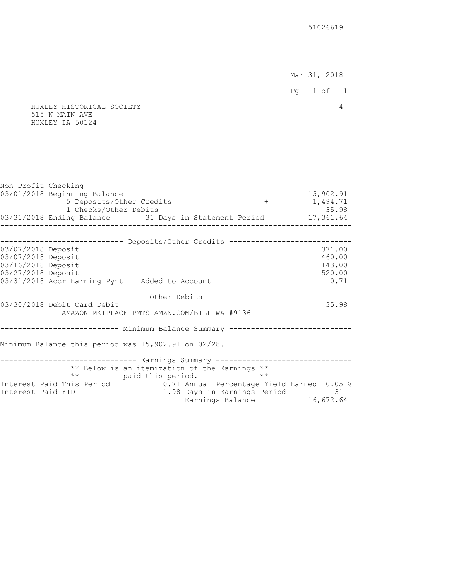Mar 31, 2018 Pg 1 of 1 HUXLEY HISTORICAL SOCIETY 4

# 515 N MAIN AVE HUXLEY IA 50124

| Non-Profit Checking |                                                                                 |                                            |                            |
|---------------------|---------------------------------------------------------------------------------|--------------------------------------------|----------------------------|
|                     | 03/01/2018 Beginning Balance                                                    |                                            | 15,902.91                  |
|                     | 5 Deposits/Other Credits                                                        |                                            | $+ 1,494.71$               |
|                     | 1 Checks/Other Debits                                                           |                                            | $-35.98$                   |
|                     | 03/31/2018 Ending Balance 31 Days in Statement Period 17,361.64                 |                                            |                            |
|                     |                                                                                 |                                            |                            |
|                     | --------------------------- Deposits/Other Credits ---------------------------- |                                            |                            |
| 03/07/2018 Deposit  |                                                                                 |                                            | 371.00                     |
| 03/07/2018 Deposit  |                                                                                 |                                            | 460.00                     |
| 03/16/2018 Deposit  |                                                                                 |                                            | 143.00                     |
| 03/27/2018 Deposit  |                                                                                 |                                            | 520.00                     |
|                     | 03/31/2018 Accr Earning Pymt Added to Account                                   |                                            | 0.71                       |
|                     | ------------------------------- Other Debits ---------------------------------- |                                            |                            |
|                     | 03/30/2018 Debit Card Debit                                                     |                                            | 35.98                      |
|                     | AMAZON MKTPLACE PMTS AMZN.COM/BILL WA #9136                                     |                                            |                            |
|                     |                                                                                 |                                            |                            |
|                     | -------------------------- Minimum Balance Summary ---------------------------- |                                            |                            |
|                     |                                                                                 |                                            |                            |
|                     | Minimum Balance this period was 15,902.91 on 02/28.                             |                                            |                            |
|                     | ------------------------------ Earnings Summary ------------------------------- |                                            |                            |
|                     | ** Below is an itemization of the Earnings **                                   |                                            |                            |
|                     | ** paid this period.                                                            | $\star \star$                              |                            |
|                     | Interest Paid This Period                                                       | 0.71 Annual Percentage Yield Earned 0.05 % |                            |
| Interest Paid YTD   |                                                                                 | 1.98 Days in Earnings Period 31            |                            |
|                     |                                                                                 |                                            | Earnings Balance 16,672.64 |
|                     |                                                                                 |                                            |                            |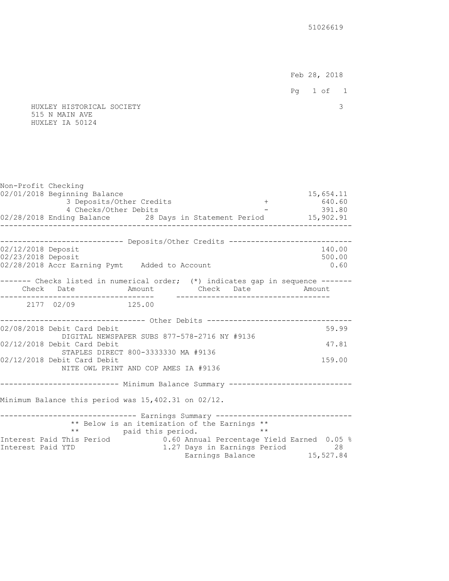Feb 28, 2018

- 
- HUXLEY HISTORICAL SOCIETY 3 515 N MAIN AVE HUXLEY IA 50124

| Non-Profit Checking | 02/01/2018 Beginning Balance                                                    |                                                                       |               | 15,654.11                                                     |
|---------------------|---------------------------------------------------------------------------------|-----------------------------------------------------------------------|---------------|---------------------------------------------------------------|
|                     | 3 Deposits/Other Credits<br>4 Checks/Other Debits                               |                                                                       |               | $+ 640.60$<br>$-391.80$                                       |
|                     | 02/28/2018 Ending Balance 28 Days in Statement Period 15,902.91                 |                                                                       |               | ------------------                                            |
|                     |                                                                                 |                                                                       |               |                                                               |
| 02/12/2018 Deposit  | --------------------------- Deposits/Other Credits ---------------------------- |                                                                       |               | 140.00                                                        |
| 02/23/2018 Deposit  |                                                                                 |                                                                       |               | 500.00                                                        |
|                     | 02/28/2018 Accr Earning Pymt Added to Account                                   |                                                                       |               | 0.60                                                          |
|                     | ------- Checks listed in numerical order; (*) indicates gap in sequence ------  |                                                                       |               |                                                               |
|                     | Check Date     Amount   Check Date   Amount                                     |                                                                       |               |                                                               |
|                     | 2177 02/09 125.00                                                               |                                                                       |               |                                                               |
|                     | ----------------------------- Other Debits ------------------------------       |                                                                       |               |                                                               |
|                     | 02/08/2018 Debit Card Debit                                                     |                                                                       |               | 59.99                                                         |
|                     | DIGITAL NEWSPAPER SUBS 877-578-2716 NY #9136                                    |                                                                       |               |                                                               |
|                     | 02/12/2018 Debit Card Debit<br>STAPLES DIRECT 800-3333330 MA #9136              |                                                                       |               | 47.81                                                         |
|                     | 02/12/2018 Debit Card Debit                                                     |                                                                       |               | 159.00                                                        |
|                     | NITE OWL PRINT AND COP AMES IA #9136                                            |                                                                       |               |                                                               |
|                     | -------------------------- Minimum Balance Summary ---------------------------- |                                                                       |               |                                                               |
|                     |                                                                                 |                                                                       |               |                                                               |
|                     | Minimum Balance this period was 15,402.31 on 02/12.                             |                                                                       |               |                                                               |
|                     |                                                                                 |                                                                       |               |                                                               |
|                     |                                                                                 | ** Below is an itemization of the Earnings **<br>** paid this period. | $\star \star$ |                                                               |
|                     | Interest Paid This Period 1.60 Annual Percentage Yield Earned 0.05 %            |                                                                       |               |                                                               |
| Interest Paid YTD   |                                                                                 |                                                                       |               | 1.27 Days in Earnings Period 28<br>Earnings Balance 15,527.84 |
|                     |                                                                                 |                                                                       |               |                                                               |